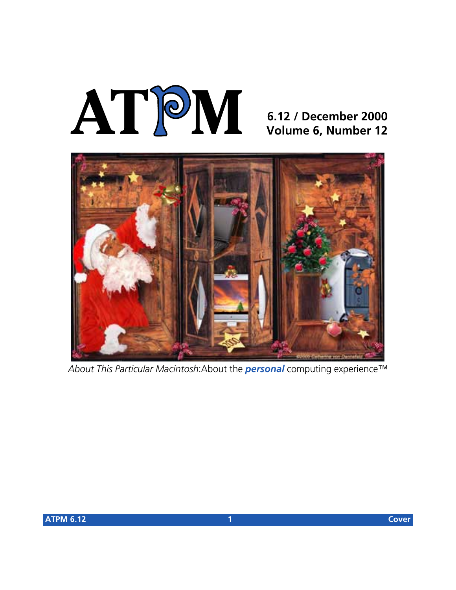# **AT**P**M**

### **6.12 / December 2000 Volume 6, Number 12**



*About This Particular Macintosh*:About the *personal* computing experience™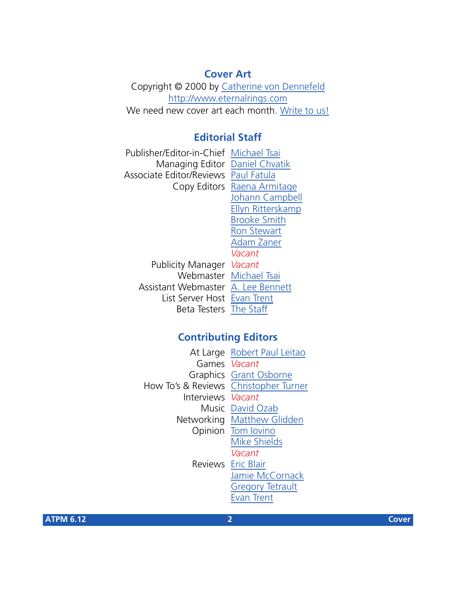#### **Cover Art**

Copyright © 2000 by [Catherine von Dennefeld](mailto:mailto:artiste@napanet.net) <http://www.eternalrings.com> We need new cover art each month. [Write to us!](mailto:cover-art@atpm.com)

#### **Editorial Staff**

Publisher/Editor-in-Chief [Michael Tsai](mailto:mtsai@atpm.com) Managing Editor [Daniel Chvatik](mailto:dchvatik@atpm.com) Associate Editor/Reviews [Paul Fatula](mailto:pfatula@atpm.com) Copy Editors [Raena Armitage](mailto:rarmitage@atpm.com) [Johann Campbell](mailto:jcampbell@atpm.com) [Ellyn Ritterskamp](mailto:eritterskamp@atpm.com) [Brooke Smith](mailto:bsmith@atpm.com) [Ron Stewart](mailto:rstewart@atpm.com) [Adam Zaner](mailto:azaner@atpm.com) *Vacant* Publicity Manager *Vacant* Webmaster [Michael Tsai](mailto:mtsai@atpm.com) Assistant Webmaster [A. Lee Bennett](mailto:lbennett@atpm.com) List Server Host [Evan Trent](mailto:etrent@atpm.com) Beta Testers [The Staff](mailto:editor@atpm.com)

#### **Contributing Editors**

|                                       | At Large Robert Paul Leitao |
|---------------------------------------|-----------------------------|
| Games Vacant                          |                             |
|                                       | Graphics Grant Osborne      |
| How To's & Reviews Christopher Turner |                             |
| Interviews Vacant                     |                             |
|                                       | Music David Ozab            |
|                                       | Networking Matthew Glidden  |
|                                       | Opinion Tom lovino          |
|                                       | <b>Mike Shields</b>         |
|                                       | Vacant                      |
|                                       | Reviews Eric Blair          |
|                                       | Jamie McCornack             |
|                                       | <b>Gregory Tetrault</b>     |
|                                       | <b>Evan Trent</b>           |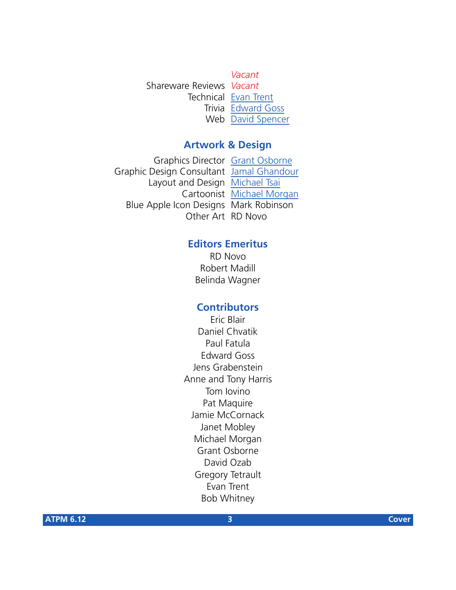*Vacant* Shareware Reviews *Vacant* Technical [Evan Trent](mailto:etrent@atpm.com) Trivia [Edward Goss](mailto:egoss@atpm.com) Web [David Spencer](mailto:dspencer@atpm.com)

#### **Artwork & Design**

Graphics Director [Grant Osborne](mailto:gosborne@atpm.com) Graphic Design Consultant [Jamal Ghandour](mailto:jghandour@atpm.com) Layout and Design [Michael Tsai](mailto:mtsai@atpm.com) Cartoonist [Michael Morgan](mailto:mmorgan@atpm.com) Blue Apple Icon Designs Mark Robinson Other Art RD Novo

#### **Editors Emeritus**

RD Novo Robert Madill Belinda Wagner

#### **Contributors**

Eric Blair Daniel Chvatik Paul Fatula Edward Goss Jens Grabenstein Anne and Tony Harris Tom Iovino Pat Maquire Jamie McCornack Janet Mobley Michael Morgan Grant Osborne David Ozab Gregory Tetrault Evan Trent Bob Whitney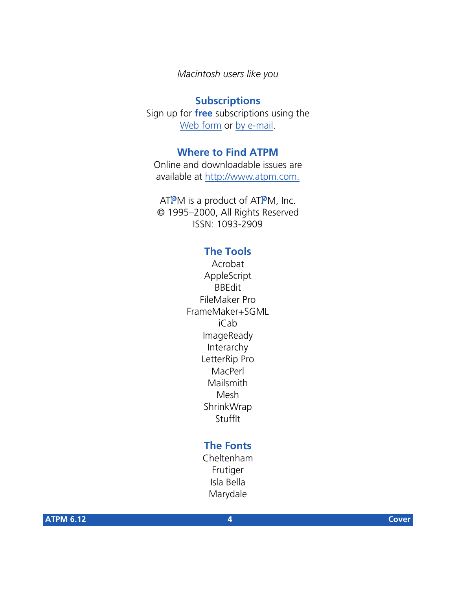*Macintosh users like you*

#### **Subscriptions**

Sign up for **free** subscriptions using the [Web form](http://www.atpm.com/subscribe/) or [by e-mail.](mailto:subscriptions@atpm.com)

#### **Where to Find ATPM**

Online and downloadable issues are available at [http://www.atpm.com.](http://www.atpm.com)

ATPM is a product of ATPM, Inc. © 1995–2000, All Rights Reserved ISSN: 1093-2909

#### **The Tools**

Acrobat AppleScript BBEdit FileMaker Pro FrameMaker+SGML iCab ImageReady Interarchy LetterRip Pro **MacPerl** Mailsmith Mesh ShrinkWrap **StuffIt** 

#### **The Fonts**

Cheltenham Frutiger Isla Bella Marydale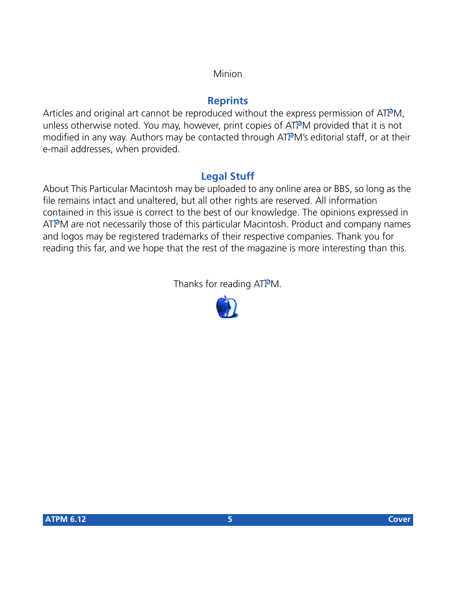#### Minion

#### **Reprints**

Articles and original art cannot be reproduced without the express permission of ATPM, unless otherwise noted. You may, however, print copies of ATPM provided that it is not modified in any way. Authors may be contacted through ATPM's editorial staff, or at their e-mail addresses, when provided.

#### **Legal Stuff**

About This Particular Macintosh may be uploaded to any online area or BBS, so long as the file remains intact and unaltered, but all other rights are reserved. All information contained in this issue is correct to the best of our knowledge. The opinions expressed in ATPM are not necessarily those of this particular Macintosh. Product and company names and logos may be registered trademarks of their respective companies. Thank you for reading this far, and we hope that the rest of the magazine is more interesting than this.

Thanks for reading ATPM.

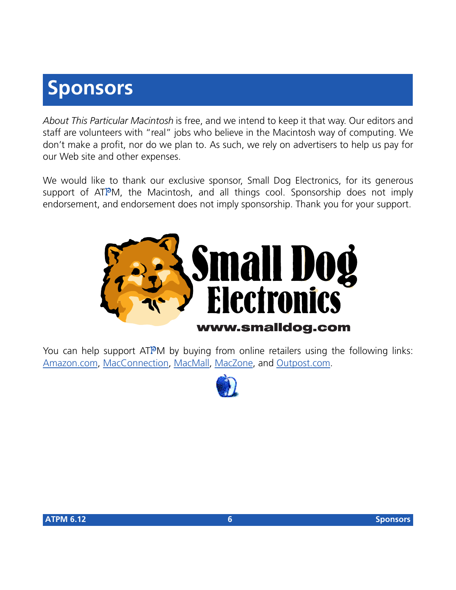# **Sponsors**

*About This Particular Macintosh* is free, and we intend to keep it that way. Our editors and staff are volunteers with "real" jobs who believe in the Macintosh way of computing. We don't make a profit, nor do we plan to. As such, we rely on advertisers to help us pay for our Web site and other expenses.

We would like to thank our exclusive sponsor, Small Dog Electronics, for its generous support of ATPM, the Macintosh, and all things cool. Sponsorship does not imply endorsement, and endorsement does not imply sponsorship. Thank you for your support.



You can help support ATPM by buying from online retailers using the following links: [Amazon.com](http://www.amazon.com/exec/obidos/redirect-home/aboutthisparticu), [MacConnection](http://service.bfast.com/bfast/click/mid9452939?siteid=13311227&bfpage=machomepage), [MacMall](http://www.commission-junction.com/track/track.dll?AID=53427&PID=297078&URL=http%3A%2F%2Fwww%2Emacmall%2Ecom%2Fmacaffiliate), [MacZone,](http://service.bfast.com/bfast/click?bfmid=1942029&siteid=26240435&bfpage=mac_zone) and [Outpost.com.](http://www.linksynergy.com/fs-bin/stat?id=N00D3BtDeo0&offerid=2161&type=3)

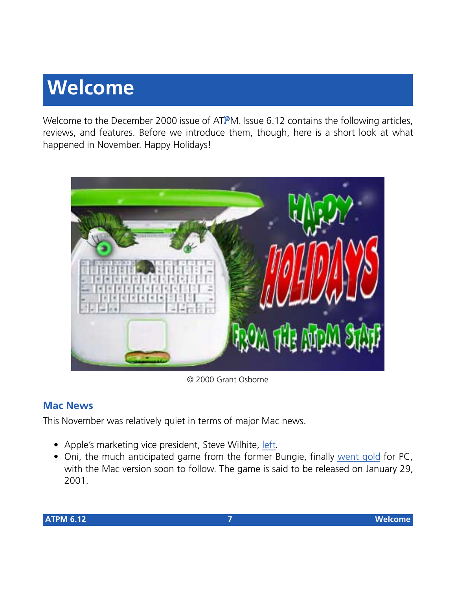# **Welcome**

Welcome to the December 2000 issue of ATPM. Issue 6.12 contains the following articles, reviews, and features. Before we introduce them, though, here is a short look at what happened in November. Happy Holidays!



© 2000 Grant Osborne

#### **Mac News**

This November was relatively quiet in terms of major Mac news.

- Apple's marketing vice president, Steve Wilhite, [left.](http://news.cnet.com/news/0�1006�202�3820354.html)
- Oni, the much anticipated game from the former Bungie, finally [went gold](http://www.insidemacgames.com/news/story.php?ArticleID=1475) for PC, with the Mac version soon to follow. The game is said to be released on January 29, 2001.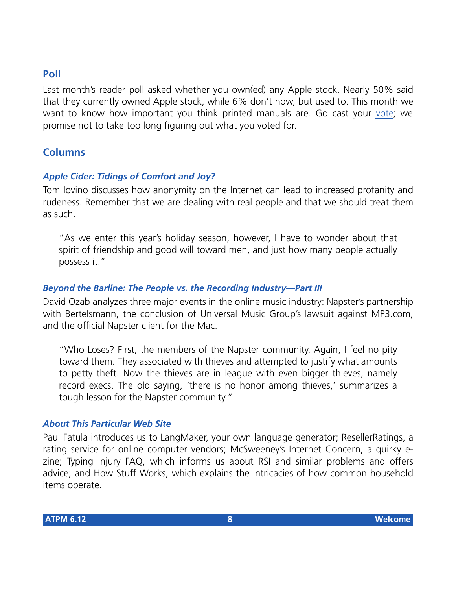#### **Poll**

Last month's reader poll asked whether you own(ed) any Apple stock. Nearly 50% said that they currently owned Apple stock, while 6% don't now, but used to. This month we want to know how important you think printed manuals are. Go cast your [vote](http://www.atpm.com/index.shtml#poll); we promise not to take too long figuring out what you voted for.

#### **Columns**

#### *Apple Cider: Tidings of Comfort and Joy?*

Tom Iovino discusses how anonymity on the Internet can lead to increased profanity and rudeness. Remember that we are dealing with real people and that we should treat them as such.

"As we enter this year's holiday season, however, I have to wonder about that spirit of friendship and good will toward men, and just how many people actually possess it."

#### *Beyond the Barline: The People vs. the Recording Industry—Part III*

David Ozab analyzes three major events in the online music industry: Napster's partnership with Bertelsmann, the conclusion of Universal Music Group's lawsuit against MP3.com, and the official Napster client for the Mac.

"Who Loses? First, the members of the Napster community. Again, I feel no pity toward them. They associated with thieves and attempted to justify what amounts to petty theft. Now the thieves are in league with even bigger thieves, namely record execs. The old saying, 'there is no honor among thieves,' summarizes a tough lesson for the Napster community."

#### *About This Particular Web Site*

Paul Fatula introduces us to LangMaker, your own language generator; ResellerRatings, a rating service for online computer vendors; McSweeney's Internet Concern, a quirky ezine; Typing Injury FAQ, which informs us about RSI and similar problems and offers advice; and How Stuff Works, which explains the intricacies of how common household items operate.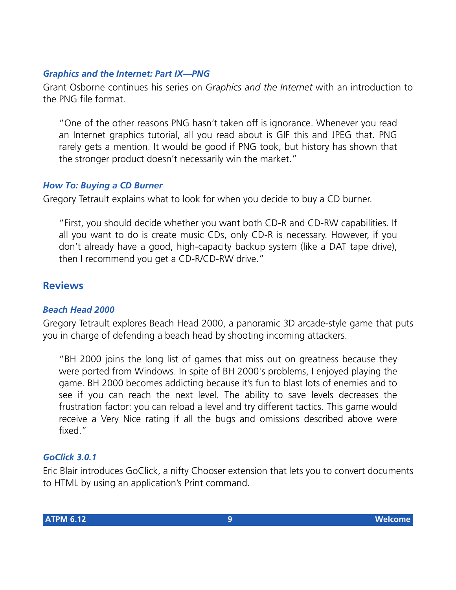#### *Graphics and the Internet: Part IX—PNG*

Grant Osborne continues his series on *Graphics and the Internet* with an introduction to the PNG file format.

"One of the other reasons PNG hasn't taken off is ignorance. Whenever you read an Internet graphics tutorial, all you read about is GIF this and JPEG that. PNG rarely gets a mention. It would be good if PNG took, but history has shown that the stronger product doesn't necessarily win the market."

#### *How To: Buying a CD Burner*

Gregory Tetrault explains what to look for when you decide to buy a CD burner.

"First, you should decide whether you want both CD-R and CD-RW capabilities. If all you want to do is create music CDs, only CD-R is necessary. However, if you don't already have a good, high-capacity backup system (like a DAT tape drive), then I recommend you get a CD-R/CD-RW drive."

#### **Reviews**

#### *Beach Head 2000*

Gregory Tetrault explores Beach Head 2000, a panoramic 3D arcade-style game that puts you in charge of defending a beach head by shooting incoming attackers.

"BH 2000 joins the long list of games that miss out on greatness because they were ported from Windows. In spite of BH 2000's problems, I enjoyed playing the game. BH 2000 becomes addicting because it's fun to blast lots of enemies and to see if you can reach the next level. The ability to save levels decreases the frustration factor: you can reload a level and try different tactics. This game would receive a Very Nice rating if all the bugs and omissions described above were fixed."

#### *GoClick 3.0.1*

Eric Blair introduces GoClick, a nifty Chooser extension that lets you to convert documents to HTML by using an application's Print command.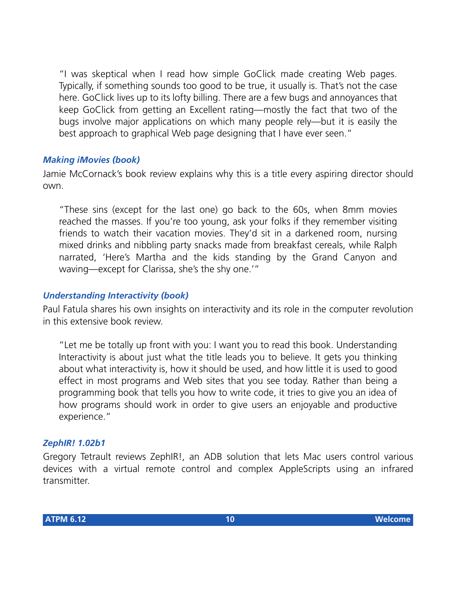"I was skeptical when I read how simple GoClick made creating Web pages. Typically, if something sounds too good to be true, it usually is. That's not the case here. GoClick lives up to its lofty billing. There are a few bugs and annoyances that keep GoClick from getting an Excellent rating—mostly the fact that two of the bugs involve major applications on which many people rely—but it is easily the best approach to graphical Web page designing that I have ever seen."

#### *Making iMovies (book)*

Jamie McCornack's book review explains why this is a title every aspiring director should own.

"These sins (except for the last one) go back to the 60s, when 8mm movies reached the masses. If you're too young, ask your folks if they remember visiting friends to watch their vacation movies. They'd sit in a darkened room, nursing mixed drinks and nibbling party snacks made from breakfast cereals, while Ralph narrated, 'Here's Martha and the kids standing by the Grand Canyon and waving—except for Clarissa, she's the shy one.'"

#### *Understanding Interactivity (book)*

Paul Fatula shares his own insights on interactivity and its role in the computer revolution in this extensive book review.

"Let me be totally up front with you: I want you to read this book. Understanding Interactivity is about just what the title leads you to believe. It gets you thinking about what interactivity is, how it should be used, and how little it is used to good effect in most programs and Web sites that you see today. Rather than being a programming book that tells you how to write code, it tries to give you an idea of how programs should work in order to give users an enjoyable and productive experience."

#### *ZephIR! 1.02b1*

Gregory Tetrault reviews ZephIR!, an ADB solution that lets Mac users control various devices with a virtual remote control and complex AppleScripts using an infrared transmitter.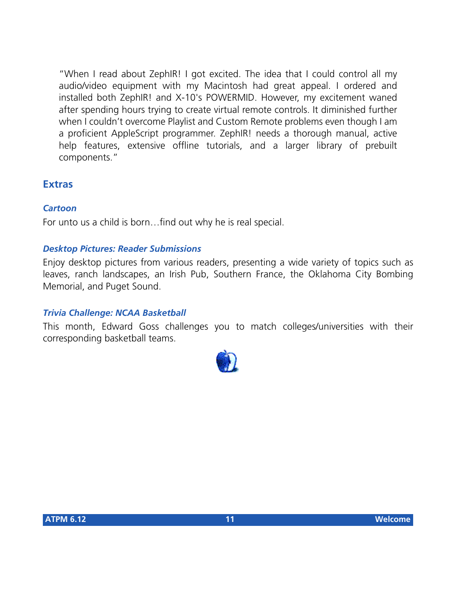"When I read about ZephIR! I got excited. The idea that I could control all my audio/video equipment with my Macintosh had great appeal. I ordered and installed both ZephIR! and X-10's POWERMID. However, my excitement waned after spending hours trying to create virtual remote controls. It diminished further when I couldn't overcome Playlist and Custom Remote problems even though I am a proficient AppleScript programmer. ZephIR! needs a thorough manual, active help features, extensive offline tutorials, and a larger library of prebuilt components."

#### **Extras**

#### *Cartoon*

For unto us a child is born…find out why he is real special.

#### *Desktop Pictures: Reader Submissions*

Enjoy desktop pictures from various readers, presenting a wide variety of topics such as leaves, ranch landscapes, an Irish Pub, Southern France, the Oklahoma City Bombing Memorial, and Puget Sound.

#### *Trivia Challenge: NCAA Basketball*

This month, Edward Goss challenges you to match colleges/universities with their corresponding basketball teams.

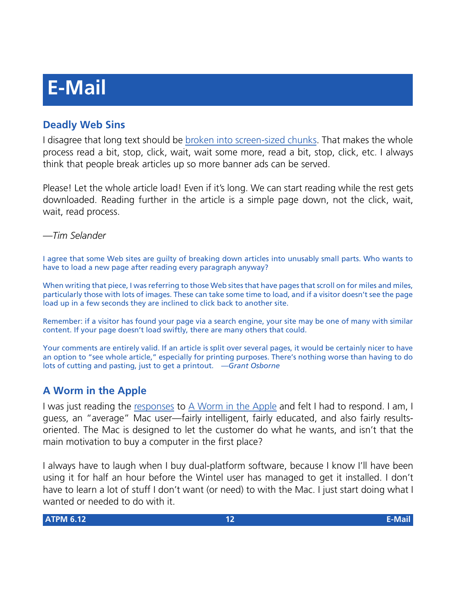# **E-Mail**

#### **Deadly Web Sins**

I disagree that long text should be [broken into screen-sized chunks](http://www.atpm.com/6.11/graphicsandtheInternet.shtml). That makes the whole process read a bit, stop, click, wait, wait some more, read a bit, stop, click, etc. I always think that people break articles up so more banner ads can be served.

Please! Let the whole article load! Even if it's long. We can start reading while the rest gets downloaded. Reading further in the article is a simple page down, not the click, wait, wait, read process.

#### *—Tim Selander*

I agree that some Web sites are guilty of breaking down articles into unusably small parts. Who wants to have to load a new page after reading every paragraph anyway?

When writing that piece, I was referring to those Web sites that have pages that scroll on for miles and miles, particularly those with lots of images. These can take some time to load, and if a visitor doesn't see the page load up in a few seconds they are inclined to click back to another site.

Remember: if a visitor has found your page via a search engine, your site may be one of many with similar content. If your page doesn't load swiftly, there are many others that could.

Your comments are entirely valid. If an article is split over several pages, it would be certainly nicer to have an option to "see whole article," especially for printing purposes. There's nothing worse than having to do lots of cutting and pasting, just to get a printout. *—Grant Osborne*

#### **A Worm in the Apple**

I was just reading the [responses](http://www.atpm.com/6.11/worm-in-the-apple.shtml) to [A Worm in the Apple](http://www.sunday-times.co.uk/news/pages/sti/2000/10/22/stidordor01006.html) and felt I had to respond. I am, I guess, an "average" Mac user—fairly intelligent, fairly educated, and also fairly resultsoriented. The Mac is designed to let the customer do what he wants, and isn't that the main motivation to buy a computer in the first place?

I always have to laugh when I buy dual-platform software, because I know I'll have been using it for half an hour before the Wintel user has managed to get it installed. I don't have to learn a lot of stuff I don't want (or need) to with the Mac. I just start doing what I wanted or needed to do with it.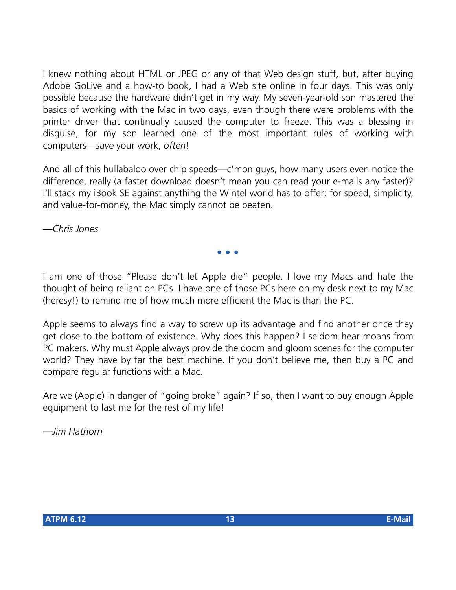I knew nothing about HTML or JPEG or any of that Web design stuff, but, after buying Adobe GoLive and a how-to book, I had a Web site online in four days. This was only possible because the hardware didn't get in my way. My seven-year-old son mastered the basics of working with the Mac in two days, even though there were problems with the printer driver that continually caused the computer to freeze. This was a blessing in disguise, for my son learned one of the most important rules of working with computers—*save* your work, *often*!

And all of this hullabaloo over chip speeds—c'mon guys, how many users even notice the difference, really (a faster download doesn't mean you can read your e-mails any faster)? I'll stack my iBook SE against anything the Wintel world has to offer; for speed, simplicity, and value-for-money, the Mac simply cannot be beaten.

*—Chris Jones*

I am one of those "Please don't let Apple die" people. I love my Macs and hate the thought of being reliant on PCs. I have one of those PCs here on my desk next to my Mac (heresy!) to remind me of how much more efficient the Mac is than the PC.

**• • •**

Apple seems to always find a way to screw up its advantage and find another once they get close to the bottom of existence. Why does this happen? I seldom hear moans from PC makers. Why must Apple always provide the doom and gloom scenes for the computer world? They have by far the best machine. If you don't believe me, then buy a PC and compare regular functions with a Mac.

Are we (Apple) in danger of "going broke" again? If so, then I want to buy enough Apple equipment to last me for the rest of my life!

*—Jim Hathorn*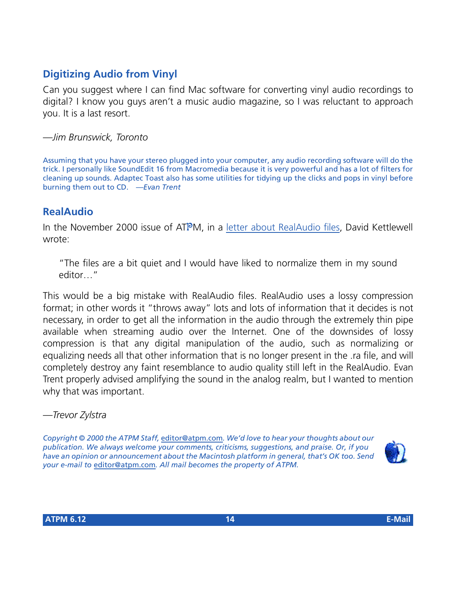#### **Digitizing Audio from Vinyl**

Can you suggest where I can find Mac software for converting vinyl audio recordings to digital? I know you guys aren't a music audio magazine, so I was reluctant to approach you. It is a last resort.

*—Jim Brunswick, Toronto*

Assuming that you have your stereo plugged into your computer, any audio recording software will do the trick. I personally like SoundEdit 16 from Macromedia because it is very powerful and has a lot of filters for cleaning up sounds. Adaptec Toast also has some utilities for tidying up the clicks and pops in vinyl before burning them out to CD. *—Evan Trent*

#### **RealAudio**

In the November 2000 issue of ATPM, in a [letter about RealAudio files](http://www.atpm.com/6.11/e-mail.shtml), David Kettlewell wrote:

"The files are a bit quiet and I would have liked to normalize them in my sound editor…"

This would be a big mistake with RealAudio files. RealAudio uses a lossy compression format; in other words it "throws away" lots and lots of information that it decides is not necessary, in order to get all the information in the audio through the extremely thin pipe available when streaming audio over the Internet. One of the downsides of lossy compression is that any digital manipulation of the audio, such as normalizing or equalizing needs all that other information that is no longer present in the .ra file, and will completely destroy any faint resemblance to audio quality still left in the RealAudio. Evan Trent properly advised amplifying the sound in the analog realm, but I wanted to mention why that was important.

#### *—Trevor Zylstra*

*Copyright © 2000 the ATPM Staff,* [editor@atpm.com](mailto:editor@atpm.com)*. We'd love to hear your thoughts about our publication. We always welcome your comments, criticisms, suggestions, and praise. Or, if you have an opinion or announcement about the Macintosh platform in general, that's OK too. Send your e-mail to* [editor@atpm.com](mailto:editor@atpm.com)*. All mail becomes the property of ATPM.*

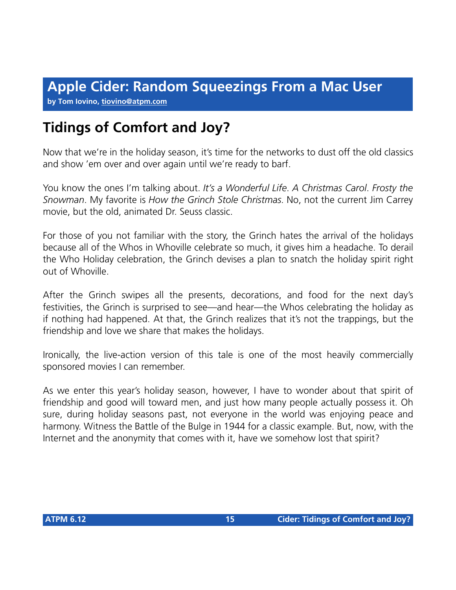**by Tom Iovino, [tiovino@atpm.com](mailto:tiovino@atpm.com)**

# **Tidings of Comfort and Joy?**

Now that we're in the holiday season, it's time for the networks to dust off the old classics and show 'em over and over again until we're ready to barf.

You know the ones I'm talking about. *It's a Wonderful Life*. *A Christmas Carol*. *Frosty the Snowman*. My favorite is *How the Grinch Stole Christmas*. No, not the current Jim Carrey movie, but the old, animated Dr. Seuss classic.

For those of you not familiar with the story, the Grinch hates the arrival of the holidays because all of the Whos in Whoville celebrate so much, it gives him a headache. To derail the Who Holiday celebration, the Grinch devises a plan to snatch the holiday spirit right out of Whoville.

After the Grinch swipes all the presents, decorations, and food for the next day's festivities, the Grinch is surprised to see—and hear—the Whos celebrating the holiday as if nothing had happened. At that, the Grinch realizes that it's not the trappings, but the friendship and love we share that makes the holidays.

Ironically, the live-action version of this tale is one of the most heavily commercially sponsored movies I can remember.

As we enter this year's holiday season, however, I have to wonder about that spirit of friendship and good will toward men, and just how many people actually possess it. Oh sure, during holiday seasons past, not everyone in the world was enjoying peace and harmony. Witness the Battle of the Bulge in 1944 for a classic example. But, now, with the Internet and the anonymity that comes with it, have we somehow lost that spirit?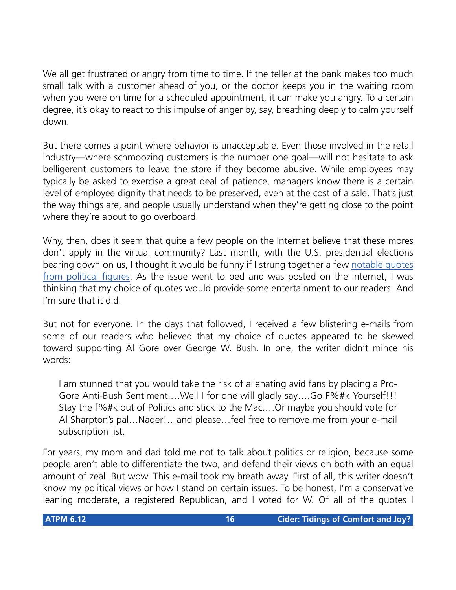We all get frustrated or angry from time to time. If the teller at the bank makes too much small talk with a customer ahead of you, or the doctor keeps you in the waiting room when you were on time for a scheduled appointment, it can make you angry. To a certain degree, it's okay to react to this impulse of anger by, say, breathing deeply to calm yourself down.

But there comes a point where behavior is unacceptable. Even those involved in the retail industry—where schmoozing customers is the number one goal—will not hesitate to ask belligerent customers to leave the store if they become abusive. While employees may typically be asked to exercise a great deal of patience, managers know there is a certain level of employee dignity that needs to be preserved, even at the cost of a sale. That's just the way things are, and people usually understand when they're getting close to the point where they're about to go overboard.

Why, then, does it seem that quite a few people on the Internet believe that these mores don't apply in the virtual community? Last month, with the U.S. presidential elections bearing down on us, I thought it would be funny if I strung together a few [notable quotes](http://www.atpm.com/6.11/cider.shtml) [from political figures](http://www.atpm.com/6.11/cider.shtml). As the issue went to bed and was posted on the Internet, I was thinking that my choice of quotes would provide some entertainment to our readers. And I'm sure that it did.

But not for everyone. In the days that followed, I received a few blistering e-mails from some of our readers who believed that my choice of quotes appeared to be skewed toward supporting Al Gore over George W. Bush. In one, the writer didn't mince his words:

I am stunned that you would take the risk of alienating avid fans by placing a Pro-Gore Anti-Bush Sentiment.…Well I for one will gladly say….Go F%#k Yourself!!! Stay the f%#k out of Politics and stick to the Mac.…Or maybe you should vote for Al Sharpton's pal…Nader!…and please…feel free to remove me from your e-mail subscription list.

For years, my mom and dad told me not to talk about politics or religion, because some people aren't able to differentiate the two, and defend their views on both with an equal amount of zeal. But wow. This e-mail took my breath away. First of all, this writer doesn't know my political views or how I stand on certain issues. To be honest, I'm a conservative leaning moderate, a registered Republican, and I voted for W. Of all of the quotes I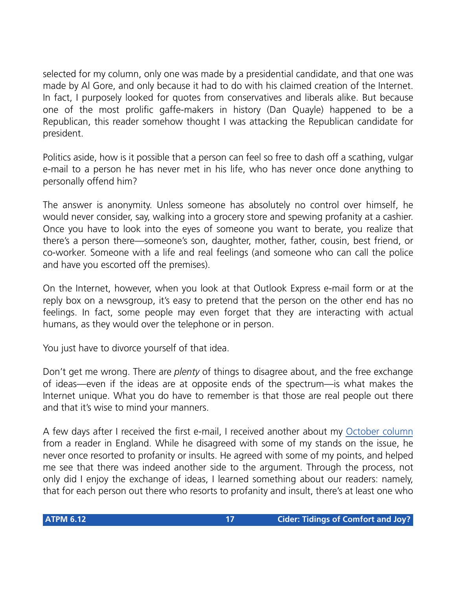selected for my column, only one was made by a presidential candidate, and that one was made by Al Gore, and only because it had to do with his claimed creation of the Internet. In fact, I purposely looked for quotes from conservatives and liberals alike. But because one of the most prolific gaffe-makers in history (Dan Quayle) happened to be a Republican, this reader somehow thought I was attacking the Republican candidate for president.

Politics aside, how is it possible that a person can feel so free to dash off a scathing, vulgar e-mail to a person he has never met in his life, who has never once done anything to personally offend him?

The answer is anonymity. Unless someone has absolutely no control over himself, he would never consider, say, walking into a grocery store and spewing profanity at a cashier. Once you have to look into the eyes of someone you want to berate, you realize that there's a person there—someone's son, daughter, mother, father, cousin, best friend, or co-worker. Someone with a life and real feelings (and someone who can call the police and have you escorted off the premises).

On the Internet, however, when you look at that Outlook Express e-mail form or at the reply box on a newsgroup, it's easy to pretend that the person on the other end has no feelings. In fact, some people may even forget that they are interacting with actual humans, as they would over the telephone or in person.

You just have to divorce yourself of that idea.

Don't get me wrong. There are *plenty* of things to disagree about, and the free exchange of ideas—even if the ideas are at opposite ends of the spectrum—is what makes the Internet unique. What you do have to remember is that those are real people out there and that it's wise to mind your manners.

A few days after I received the first e-mail, I received another about my [October column](http://www.atpm.com/6.10/cider.shtml) from a reader in England. While he disagreed with some of my stands on the issue, he never once resorted to profanity or insults. He agreed with some of my points, and helped me see that there was indeed another side to the argument. Through the process, not only did I enjoy the exchange of ideas, I learned something about our readers: namely, that for each person out there who resorts to profanity and insult, there's at least one who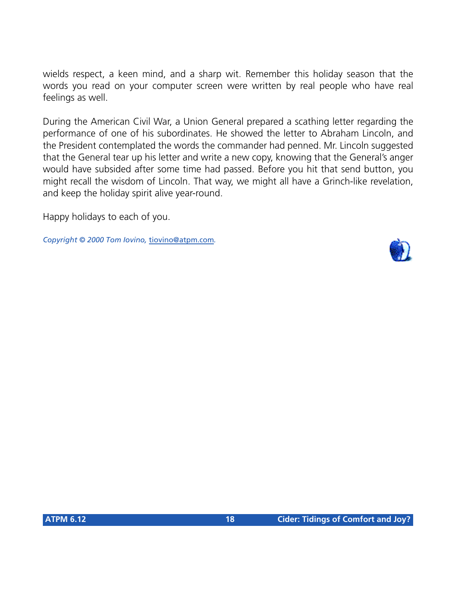wields respect, a keen mind, and a sharp wit. Remember this holiday season that the words you read on your computer screen were written by real people who have real feelings as well.

During the American Civil War, a Union General prepared a scathing letter regarding the performance of one of his subordinates. He showed the letter to Abraham Lincoln, and the President contemplated the words the commander had penned. Mr. Lincoln suggested that the General tear up his letter and write a new copy, knowing that the General's anger would have subsided after some time had passed. Before you hit that send button, you might recall the wisdom of Lincoln. That way, we might all have a Grinch-like revelation, and keep the holiday spirit alive year-round.

Happy holidays to each of you.

*Copyright © 2000 Tom Iovino,* [tiovino@atpm.com](mailto:tiovino@atpm.com)*.*

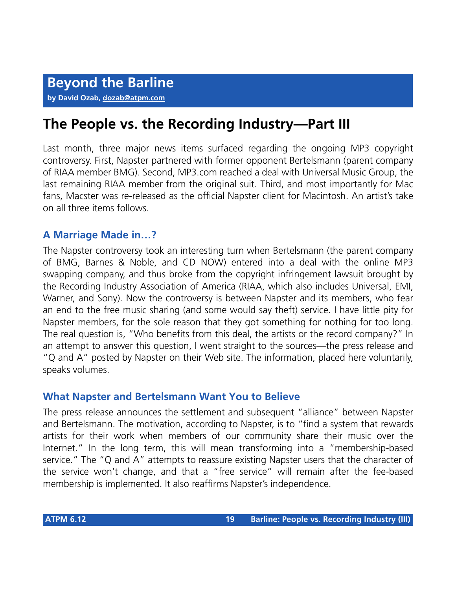## **The People vs. the Recording Industry—Part III**

Last month, three major news items surfaced regarding the ongoing MP3 copyright controversy. First, Napster partnered with former opponent Bertelsmann (parent company of RIAA member BMG). Second, MP3.com reached a deal with Universal Music Group, the last remaining RIAA member from the original suit. Third, and most importantly for Mac fans, Macster was re-released as the official Napster client for Macintosh. An artist's take on all three items follows.

#### **A Marriage Made in…?**

The Napster controversy took an interesting turn when Bertelsmann (the parent company of BMG, Barnes & Noble, and CD NOW) entered into a deal with the online MP3 swapping company, and thus broke from the copyright infringement lawsuit brought by the Recording Industry Association of America (RIAA, which also includes Universal, EMI, Warner, and Sony). Now the controversy is between Napster and its members, who fear an end to the free music sharing (and some would say theft) service. I have little pity for Napster members, for the sole reason that they got something for nothing for too long. The real question is, "Who benefits from this deal, the artists or the record company?" In an attempt to answer this question, I went straight to the sources—the press release and "Q and A" posted by Napster on their Web site. The information, placed here voluntarily, speaks volumes.

#### **What Napster and Bertelsmann Want You to Believe**

The press release announces the settlement and subsequent "alliance" between Napster and Bertelsmann. The motivation, according to Napster, is to "find a system that rewards artists for their work when members of our community share their music over the Internet." In the long term, this will mean transforming into a "membership-based service." The "Q and A" attempts to reassure existing Napster users that the character of the service won't change, and that a "free service" will remain after the fee-based membership is implemented. It also reaffirms Napster's independence.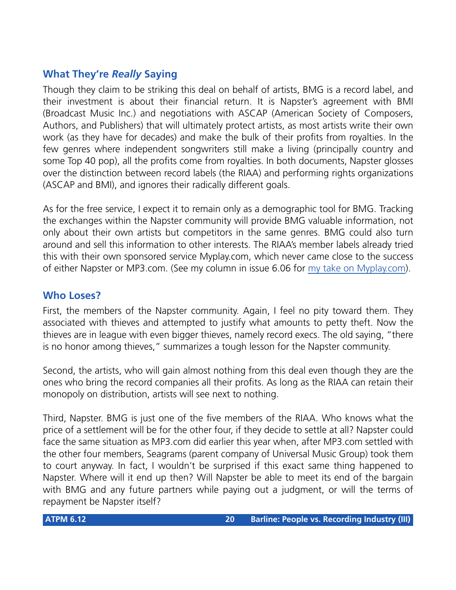#### **What They're** *Really* **Saying**

Though they claim to be striking this deal on behalf of artists, BMG is a record label, and their investment is about their financial return. It is Napster's agreement with BMI (Broadcast Music Inc.) and negotiations with ASCAP (American Society of Composers, Authors, and Publishers) that will ultimately protect artists, as most artists write their own work (as they have for decades) and make the bulk of their profits from royalties. In the few genres where independent songwriters still make a living (principally country and some Top 40 pop), all the profits come from royalties. In both documents, Napster glosses over the distinction between record labels (the RIAA) and performing rights organizations (ASCAP and BMI), and ignores their radically different goals.

As for the free service, I expect it to remain only as a demographic tool for BMG. Tracking the exchanges within the Napster community will provide BMG valuable information, not only about their own artists but competitors in the same genres. BMG could also turn around and sell this information to other interests. The RIAA's member labels already tried this with their own sponsored service Myplay.com, which never came close to the success of either Napster or MP3.com. (See my column in issue 6.06 for [my take on Myplay.com\)](http://www.atpm.com/6.06/barline.shtml).

#### **Who Loses?**

First, the members of the Napster community. Again, I feel no pity toward them. They associated with thieves and attempted to justify what amounts to petty theft. Now the thieves are in league with even bigger thieves, namely record execs. The old saying, "there is no honor among thieves," summarizes a tough lesson for the Napster community.

Second, the artists, who will gain almost nothing from this deal even though they are the ones who bring the record companies all their profits. As long as the RIAA can retain their monopoly on distribution, artists will see next to nothing.

Third, Napster. BMG is just one of the five members of the RIAA. Who knows what the price of a settlement will be for the other four, if they decide to settle at all? Napster could face the same situation as MP3.com did earlier this year when, after MP3.com settled with the other four members, Seagrams (parent company of Universal Music Group) took them to court anyway. In fact, I wouldn't be surprised if this exact same thing happened to Napster. Where will it end up then? Will Napster be able to meet its end of the bargain with BMG and any future partners while paying out a judgment, or will the terms of repayment be Napster itself?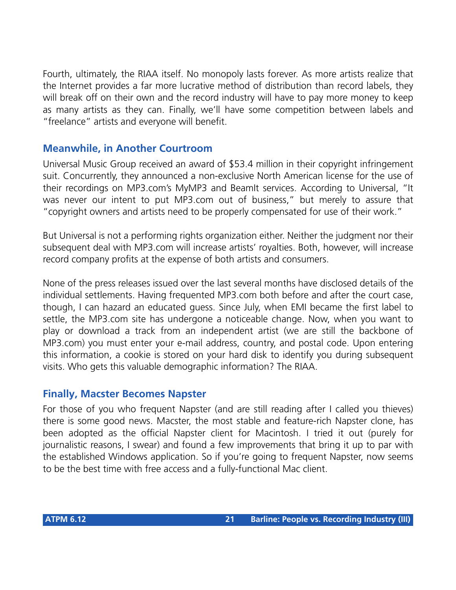Fourth, ultimately, the RIAA itself. No monopoly lasts forever. As more artists realize that the Internet provides a far more lucrative method of distribution than record labels, they will break off on their own and the record industry will have to pay more money to keep as many artists as they can. Finally, we'll have some competition between labels and "freelance" artists and everyone will benefit.

#### **Meanwhile, in Another Courtroom**

Universal Music Group received an award of \$53.4 million in their copyright infringement suit. Concurrently, they announced a non-exclusive North American license for the use of their recordings on MP3.com's MyMP3 and BeamIt services. According to Universal, "It was never our intent to put MP3.com out of business," but merely to assure that "copyright owners and artists need to be properly compensated for use of their work."

But Universal is not a performing rights organization either. Neither the judgment nor their subsequent deal with MP3.com will increase artists' royalties. Both, however, will increase record company profits at the expense of both artists and consumers.

None of the press releases issued over the last several months have disclosed details of the individual settlements. Having frequented MP3.com both before and after the court case, though, I can hazard an educated guess. Since July, when EMI became the first label to settle, the MP3.com site has undergone a noticeable change. Now, when you want to play or download a track from an independent artist (we are still the backbone of MP3.com) you must enter your e-mail address, country, and postal code. Upon entering this information, a cookie is stored on your hard disk to identify you during subsequent visits. Who gets this valuable demographic information? The RIAA.

#### **Finally, Macster Becomes Napster**

For those of you who frequent Napster (and are still reading after I called you thieves) there is some good news. Macster, the most stable and feature-rich Napster clone, has been adopted as the official Napster client for Macintosh. I tried it out (purely for journalistic reasons, I swear) and found a few improvements that bring it up to par with the established Windows application. So if you're going to frequent Napster, now seems to be the best time with free access and a fully-functional Mac client.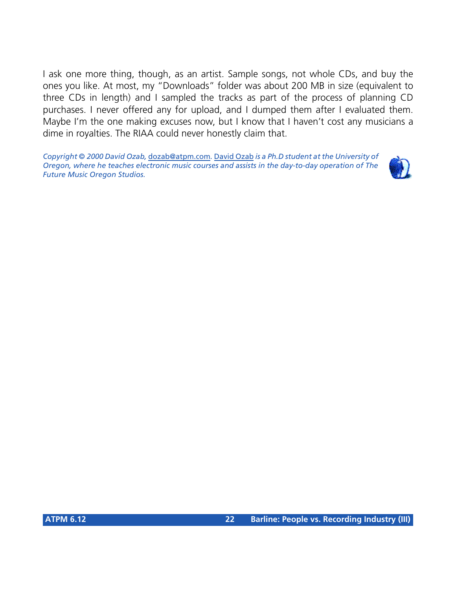I ask one more thing, though, as an artist. Sample songs, not whole CDs, and buy the ones you like. At most, my "Downloads" folder was about 200 MB in size (equivalent to three CDs in length) and I sampled the tracks as part of the process of planning CD purchases. I never offered any for upload, and I dumped them after I evaluated them. Maybe I'm the one making excuses now, but I know that I haven't cost any musicians a dime in royalties. The RIAA could never honestly claim that.

*Copyright © 2000 David Ozab,* [dozab@atpm.com](mailto:dozab@atpm.com)*.* [David Ozab](http://darkwing.uoregon.edu/%7Edlo) *is a Ph.D student at the University of Oregon, where he teaches electronic music courses and assists in the day-to-day operation of The Future Music Oregon Studios.*

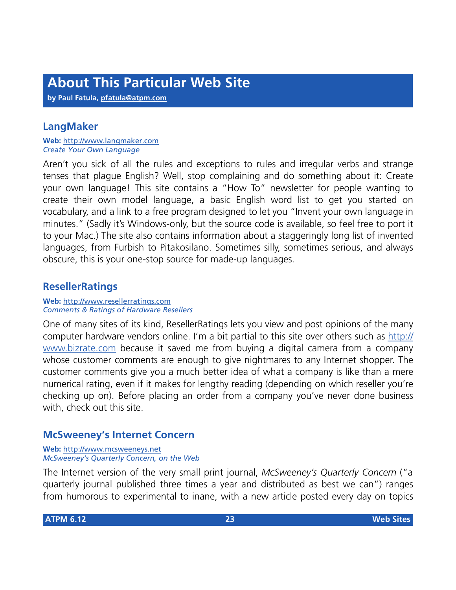**by Paul Fatula, [pfatula@atpm.com](mailto:pfatula@atpm.com)**

#### **LangMaker**

**Web:** <http://www.langmaker.com> *Create Your Own Language*

Aren't you sick of all the rules and exceptions to rules and irregular verbs and strange tenses that plague English? Well, stop complaining and do something about it: Create your own language! This site contains a "How To" newsletter for people wanting to create their own model language, a basic English word list to get you started on vocabulary, and a link to a free program designed to let you "Invent your own language in minutes." (Sadly it's Windows-only, but the source code is available, so feel free to port it to your Mac.) The site also contains information about a staggeringly long list of invented languages, from Furbish to Pitakosilano. Sometimes silly, sometimes serious, and always obscure, this is your one-stop source for made-up languages.

#### **ResellerRatings**

**Web:** <http://www.resellerratings.com> *Comments & Ratings of Hardware Resellers*

One of many sites of its kind, ResellerRatings lets you view and post opinions of the many computer hardware vendors online. I'm a bit partial to this site over others such as [http://](http://www.bizrate.com) [www.bizrate.com](http://www.bizrate.com) because it saved me from buying a digital camera from a company whose customer comments are enough to give nightmares to any Internet shopper. The customer comments give you a much better idea of what a company is like than a mere numerical rating, even if it makes for lengthy reading (depending on which reseller you're checking up on). Before placing an order from a company you've never done business with, check out this site.

#### **McSweeney's Internet Concern**

**Web:** <http://www.mcsweeneys.net> *McSweeney's Quarterly Concern, on the Web*

The Internet version of the very small print journal, *McSweeney's Quarterly Concern* ("a quarterly journal published three times a year and distributed as best we can") ranges from humorous to experimental to inane, with a new article posted every day on topics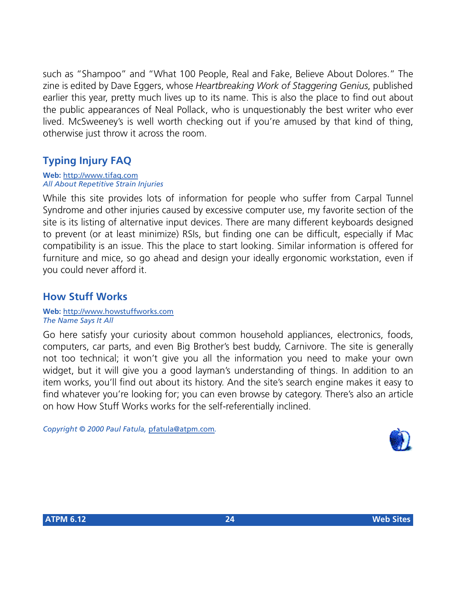such as "Shampoo" and "What 100 People, Real and Fake, Believe About Dolores." The zine is edited by Dave Eggers, whose *Heartbreaking Work of Staggering Genius*, published earlier this year, pretty much lives up to its name. This is also the place to find out about the public appearances of Neal Pollack, who is unquestionably the best writer who ever lived. McSweeney's is well worth checking out if you're amused by that kind of thing, otherwise just throw it across the room.

#### **Typing Injury FAQ**

**Web:** <http://www.tifaq.com> *All About Repetitive Strain Injuries*

While this site provides lots of information for people who suffer from Carpal Tunnel Syndrome and other injuries caused by excessive computer use, my favorite section of the site is its listing of alternative input devices. There are many different keyboards designed to prevent (or at least minimize) RSIs, but finding one can be difficult, especially if Mac compatibility is an issue. This the place to start looking. Similar information is offered for furniture and mice, so go ahead and design your ideally ergonomic workstation, even if you could never afford it.

#### **How Stuff Works**

**Web:** <http://www.howstuffworks.com> *The Name Says It All*

Go here satisfy your curiosity about common household appliances, electronics, foods, computers, car parts, and even Big Brother's best buddy, Carnivore. The site is generally not too technical; it won't give you all the information you need to make your own widget, but it will give you a good layman's understanding of things. In addition to an item works, you'll find out about its history. And the site's search engine makes it easy to find whatever you're looking for; you can even browse by category. There's also an article on how How Stuff Works works for the self-referentially inclined.

*Copyright © 2000 Paul Fatula,* [pfatula@atpm.com](mailto:pfatula@atpm.com)*.*

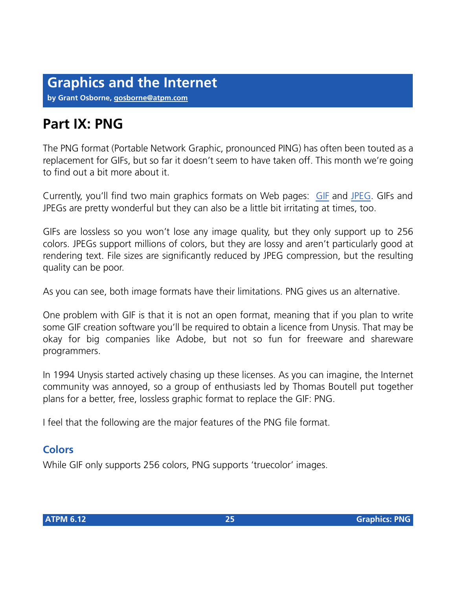## **Part IX: PNG**

The PNG format (Portable Network Graphic, pronounced PING) has often been touted as a replacement for GIFs, but so far it doesn't seem to have taken off. This month we're going to find out a bit more about it.

Currently, you'll find two main graphics formats on Web pages: [GIF](http://www.atpm.com/6.08/graphicsandtheinternet.shtml) and [JPEG](http://www.atpm.com/6.06/graphicsandtheinternet.shtml). GIFs and JPEGs are pretty wonderful but they can also be a little bit irritating at times, too.

GIFs are lossless so you won't lose any image quality, but they only support up to 256 colors. JPEGs support millions of colors, but they are lossy and aren't particularly good at rendering text. File sizes are significantly reduced by JPEG compression, but the resulting quality can be poor.

As you can see, both image formats have their limitations. PNG gives us an alternative.

One problem with GIF is that it is not an open format, meaning that if you plan to write some GIF creation software you'll be required to obtain a licence from Unysis. That may be okay for big companies like Adobe, but not so fun for freeware and shareware programmers.

In 1994 Unysis started actively chasing up these licenses. As you can imagine, the Internet community was annoyed, so a group of enthusiasts led by Thomas Boutell put together plans for a better, free, lossless graphic format to replace the GIF: PNG.

I feel that the following are the major features of the PNG file format.

#### **Colors**

While GIF only supports 256 colors, PNG supports 'truecolor' images.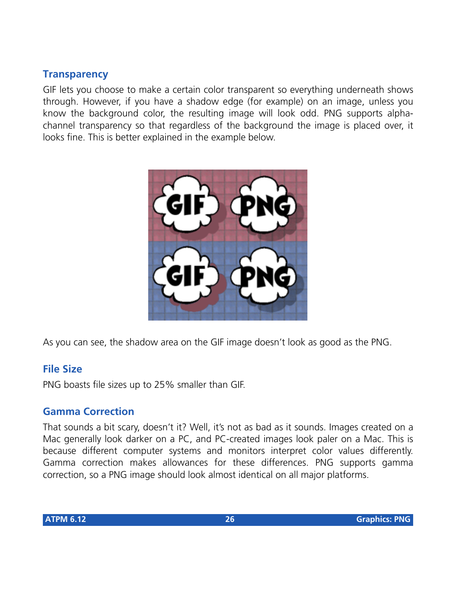#### **Transparency**

GIF lets you choose to make a certain color transparent so everything underneath shows through. However, if you have a shadow edge (for example) on an image, unless you know the background color, the resulting image will look odd. PNG supports alphachannel transparency so that regardless of the background the image is placed over, it looks fine. This is better explained in the example below.



As you can see, the shadow area on the GIF image doesn't look as good as the PNG.

#### **File Size**

PNG boasts file sizes up to 25% smaller than GIF.

#### **Gamma Correction**

That sounds a bit scary, doesn't it? Well, it's not as bad as it sounds. Images created on a Mac generally look darker on a PC, and PC-created images look paler on a Mac. This is because different computer systems and monitors interpret color values differently. Gamma correction makes allowances for these differences. PNG supports gamma correction, so a PNG image should look almost identical on all major platforms.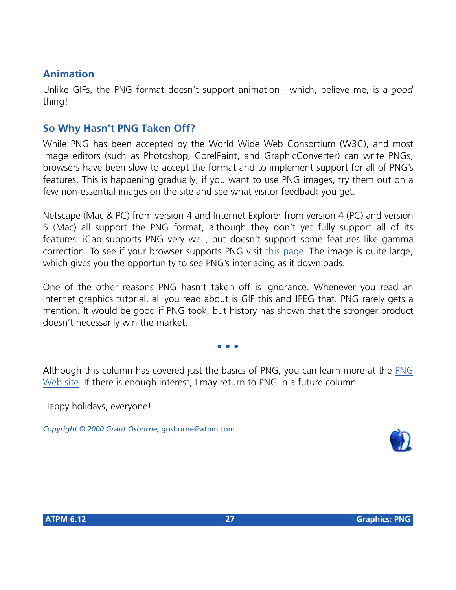#### **Animation**

Unlike GIFs, the PNG format doesn't support animation—which, believe me, is a *good* thing!

#### **So Why Hasn't PNG Taken Off?**

While PNG has been accepted by the World Wide Web Consortium (W3C), and most image editors (such as Photoshop, CorelPaint, and GraphicConverter) can write PNGs, browsers have been slow to accept the format and to implement support for all of PNG's features. This is happening gradually; if you want to use PNG images, try them out on a few non-essential images on the site and see what visitor feedback you get.

Netscape (Mac & PC) from version 4 and Internet Explorer from version 4 (PC) and version 5 (Mac) all support the PNG format, although they don't yet fully support all of its features. iCab supports PNG very well, but doesn't support some features like gamma correction. To see if your browser supports PNG visit [this page](http://www.libpng.org/pub/png/png-OwlAlpha.html). The image is quite large, which gives you the opportunity to see PNG's interlacing as it downloads.

One of the other reasons PNG hasn't taken off is ignorance. Whenever you read an Internet graphics tutorial, all you read about is GIF this and JPEG that. PNG rarely gets a mention. It would be good if PNG took, but history has shown that the stronger product doesn't necessarily win the market.

**• • •**

Although this column has covered just the basics of PNG, you can learn more at the [PNG](http://www.libpng.org/pub/png) [Web site.](http://www.libpng.org/pub/png) If there is enough interest, I may return to PNG in a future column.

Happy holidays, everyone!

*Copyright © 2000 Grant Osborne,* [gosborne@atpm.com](mailto:gosborne@atpm.com)*.*

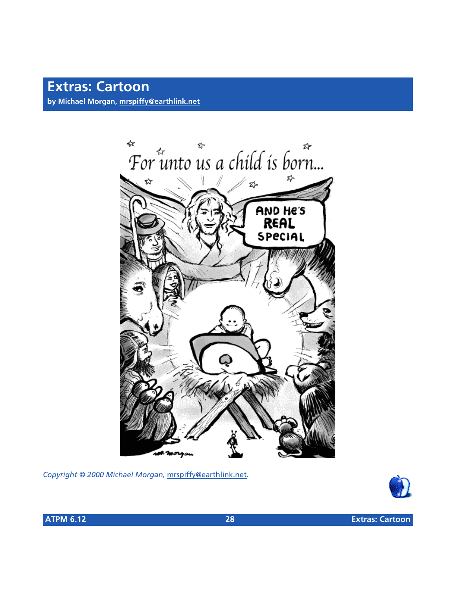## **Extras: Cartoon**

**by Michael Morgan, [mrspiffy@earthlink.net](mailto:mrspiffy@earthlink.net)**



*Copyright © 2000 Michael Morgan,* [mrspiffy@earthlink.net](mailto:mrspiffy@earthlink.net)*.*

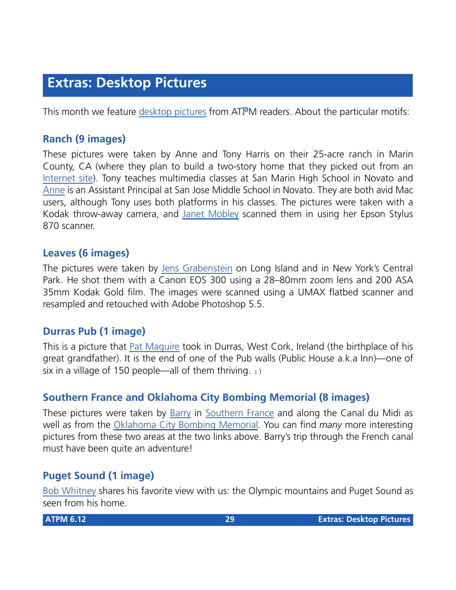This month we feature [desktop pictures](http://www.atpm.com/6.12/from-atpm-readers/) from ATPM readers. About the particular motifs:

#### **Ranch (9 images)**

These pictures were taken by Anne and Tony Harris on their 25-acre ranch in Marin County, CA (where they plan to build a two-story home that they picked out from an [Internet site\)](http://logcabins.com/homes/catalog/montery.htm). Tony teaches multimedia classes at San Marin High School in Novato and [Anne](mailto:fuzzyacres@aol.com) is an Assistant Principal at San Jose Middle School in Novato. They are both avid Mac users, although Tony uses both platforms in his classes. The pictures were taken with a Kodak throw-away camera, and [Janet Mobley](mailto:janmobley@home.com) scanned them in using her Epson Stylus 870 scanner.

#### **Leaves (6 images)**

The pictures were taken by [Jens Grabenstein](mailto:jens@grabenstein.de) on Long Island and in New York's Central Park. He shot them with a Canon EOS 300 using a 28–80mm zoom lens and 200 ASA 35mm Kodak Gold film. The images were scanned using a UMAX flatbed scanner and resampled and retouched with Adobe Photoshop 5.5.

#### **Durras Pub (1 image)**

This is a picture that [Pat Maguire](mailto:pmaguire@nthhumb.karoo.co.uk) took in Durras, West Cork, Ireland (the birthplace of his great grandfather). It is the end of one of the Pub walls (Public House a.k.a Inn)—one of six in a village of 150 people—all of them thriving.  $:$  )

#### **Southern France and Oklahoma City Bombing Memorial (8 images)**

These pictures were taken by [Barry](mailto:bwr248@home.net) in [Southern France](http://www.members.home.net/bwr248/France) and along the Canal du Midi as well as from the [Oklahoma City Bombing Memorial](http://www.members.home.net/bwr248/OKCmemorial). You can find *many* more interesting pictures from these two areas at the two links above. Barry's trip through the French canal must have been quite an adventure!

#### **Puget Sound (1 image)**

[Bob Whitney](mailto:rbw98465@yahoo.com) shares his favorite view with us: the Olympic mountains and Puget Sound as seen from his home.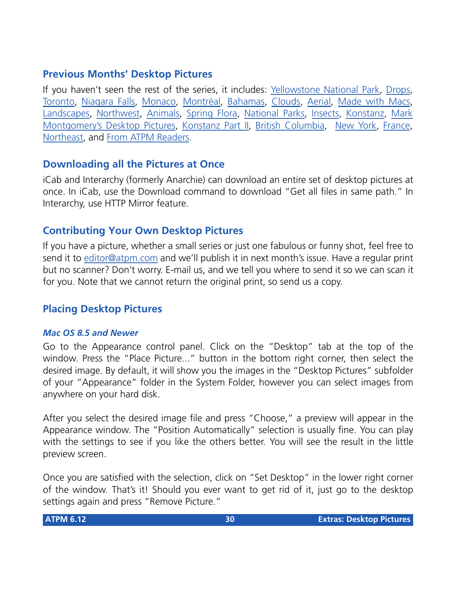#### **Previous Months' Desktop Pictures**

If you haven't seen the rest of the series, it includes: [Yellowstone National Park,](http://www.atpm.com/5.03/yellowstone.shtml) [Drops,](http://www.atpm.com/5.05/drops/) [Toronto](http://www.atpm.com/5.07/toronto/), [Niagara Falls](http://www.atpm.com/5.08/niagara/), [Monaco](http://www.atpm.com/5.09/monaco/), [Montréal](http://www.atpm.com/5.10/montreal/), [Bahamas](http://www.atpm.com/5.11/bahamas/), [Clouds](http://www.atpm.com/5.12/clouds/), [Aerial](http://www.atpm.com/6.01/aerial/), [Made with Macs,](http://www.atpm.com/6.02/madewithmacs/) [Landscapes](http://www.atpm.com/6.03/landscapes), [Northwest,](http://www.atpm.com/6.04/northwest/) [Animals](http://www.atpm.com/6.05/animals/), [Spring Flora,](http://www.atpm.com/6.06/spring-flora/) [National Parks](http://www.atpm.com/6.07/national-parks/), [Insects](http://www.atpm.com/6.08/insects/), [Konstanz](http://www.atpm.com/6.08/konstanz/), [Mark](http://www.atpm.com/6.09/montgomery/) [Montgomery's Desktop Pictures,](http://www.atpm.com/6.09/montgomery/) [Konstanz Part II](http://www.atpm.com/6.09/konstanz), [British Columbia,](http://www.atpm.com/6.10/british-columbia/) [New York,](http://www.atpm.com/6.10/new-york/) [France,](http://www.atpm.com/6.11/france/) [Northeast,](http://www.atpm.com/6.11/northeast/) and [From ATPM Readers](http://www.atpm.com/6.12/from-atpm-readers/).

#### **Downloading all the Pictures at Once**

iCab and Interarchy (formerly Anarchie) can download an entire set of desktop pictures at once. In iCab, use the Download command to download "Get all files in same path." In Interarchy, use HTTP Mirror feature.

#### **Contributing Your Own Desktop Pictures**

If you have a picture, whether a small series or just one fabulous or funny shot, feel free to send it to [editor@atpm.com](mailto:editor@atpm.com) and we'll publish it in next month's issue. Have a regular print but no scanner? Don't worry. E-mail us, and we tell you where to send it so we can scan it for you. Note that we cannot return the original print, so send us a copy.

#### **Placing Desktop Pictures**

#### *Mac OS 8.5 and Newer*

Go to the Appearance control panel. Click on the "Desktop" tab at the top of the window. Press the "Place Picture..." button in the bottom right corner, then select the desired image. By default, it will show you the images in the "Desktop Pictures" subfolder of your "Appearance" folder in the System Folder, however you can select images from anywhere on your hard disk.

After you select the desired image file and press "Choose," a preview will appear in the Appearance window. The "Position Automatically" selection is usually fine. You can play with the settings to see if you like the others better. You will see the result in the little preview screen.

Once you are satisfied with the selection, click on "Set Desktop" in the lower right corner of the window. That's it! Should you ever want to get rid of it, just go to the desktop settings again and press "Remove Picture."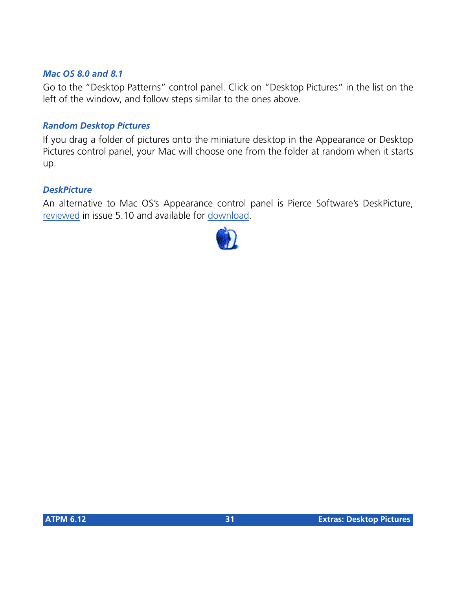#### *Mac OS 8.0 and 8.1*

Go to the "Desktop Patterns" control panel. Click on "Desktop Pictures" in the list on the left of the window, and follow steps similar to the ones above.

#### *Random Desktop Pictures*

If you drag a folder of pictures onto the miniature desktop in the Appearance or Desktop Pictures control panel, your Mac will choose one from the folder at random when it starts up.

#### *DeskPicture*

[An alternative to Mac OS's Appearance control panel is Pierce Software's DeskPicture,](http://www.atpm.com/5.10/roundup.shtml) [reviewed](http://www.atpm.com/5.10/roundup.shtml) [in issue 5.10 and available for download](http://www.peircesw.com/DeskPicture.html).

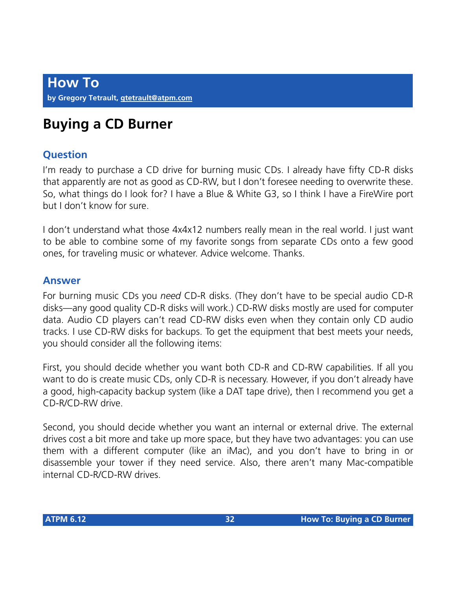# **Buying a CD Burner**

#### **Question**

I'm ready to purchase a CD drive for burning music CDs. I already have fifty CD-R disks that apparently are not as good as CD-RW, but I don't foresee needing to overwrite these. So, what things do I look for? I have a Blue & White G3, so I think I have a FireWire port but I don't know for sure.

I don't understand what those 4x4x12 numbers really mean in the real world. I just want to be able to combine some of my favorite songs from separate CDs onto a few good ones, for traveling music or whatever. Advice welcome. Thanks.

#### **Answer**

For burning music CDs you *need* CD-R disks. (They don't have to be special audio CD-R disks—any good quality CD-R disks will work.) CD-RW disks mostly are used for computer data. Audio CD players can't read CD-RW disks even when they contain only CD audio tracks. I use CD-RW disks for backups. To get the equipment that best meets your needs, you should consider all the following items:

First, you should decide whether you want both CD-R and CD-RW capabilities. If all you want to do is create music CDs, only CD-R is necessary. However, if you don't already have a good, high-capacity backup system (like a DAT tape drive), then I recommend you get a CD-R/CD-RW drive.

Second, you should decide whether you want an internal or external drive. The external drives cost a bit more and take up more space, but they have two advantages: you can use them with a different computer (like an iMac), and you don't have to bring in or disassemble your tower if they need service. Also, there aren't many Mac-compatible internal CD-R/CD-RW drives.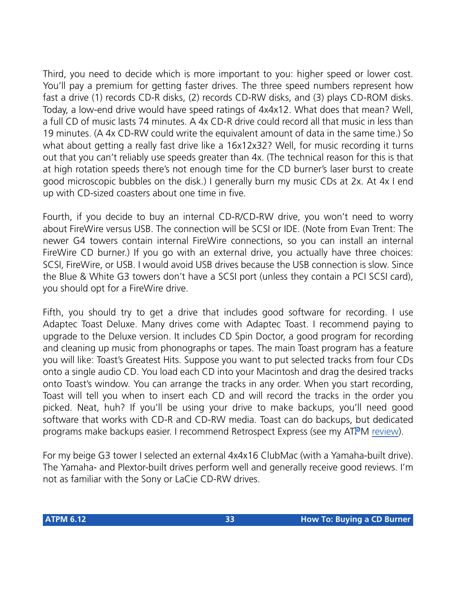Third, you need to decide which is more important to you: higher speed or lower cost. You'll pay a premium for getting faster drives. The three speed numbers represent how fast a drive (1) records CD-R disks, (2) records CD-RW disks, and (3) plays CD-ROM disks. Today, a low-end drive would have speed ratings of 4x4x12. What does that mean? Well, a full CD of music lasts 74 minutes. A 4x CD-R drive could record all that music in less than 19 minutes. (A 4x CD-RW could write the equivalent amount of data in the same time.) So what about getting a really fast drive like a 16x12x32? Well, for music recording it turns out that you can't reliably use speeds greater than 4x. (The technical reason for this is that at high rotation speeds there's not enough time for the CD burner's laser burst to create good microscopic bubbles on the disk.) I generally burn my music CDs at 2x. At 4x I end up with CD-sized coasters about one time in five.

Fourth, if you decide to buy an internal CD-R/CD-RW drive, you won't need to worry about FireWire versus USB. The connection will be SCSI or IDE. (Note from Evan Trent: The newer G4 towers contain internal FireWire connections, so you can install an internal FireWire CD burner.) If you go with an external drive, you actually have three choices: SCSI, FireWire, or USB. I would avoid USB drives because the USB connection is slow. Since the Blue & White G3 towers don't have a SCSI port (unless they contain a PCI SCSI card), you should opt for a FireWire drive.

Fifth, you should try to get a drive that includes good software for recording. I use Adaptec Toast Deluxe. Many drives come with Adaptec Toast. I recommend paying to upgrade to the Deluxe version. It includes CD Spin Doctor, a good program for recording and cleaning up music from phonographs or tapes. The main Toast program has a feature you will like: Toast's Greatest Hits. Suppose you want to put selected tracks from four CDs onto a single audio CD. You load each CD into your Macintosh and drag the desired tracks onto Toast's window. You can arrange the tracks in any order. When you start recording, Toast will tell you when to insert each CD and will record the tracks in the order you picked. Neat, huh? If you'll be using your drive to make backups, you'll need good software that works with CD-R and CD-RW media. Toast can do backups, but dedicated programs make backups easier. I recommend Retrospect Express (see my ATPM [review](http://www.atpm.com/6.06/retrospectexpress.shtml)).

For my beige G3 tower I selected an external 4x4x16 ClubMac (with a Yamaha-built drive). The Yamaha- and Plextor-built drives perform well and generally receive good reviews. I'm not as familiar with the Sony or LaCie CD-RW drives.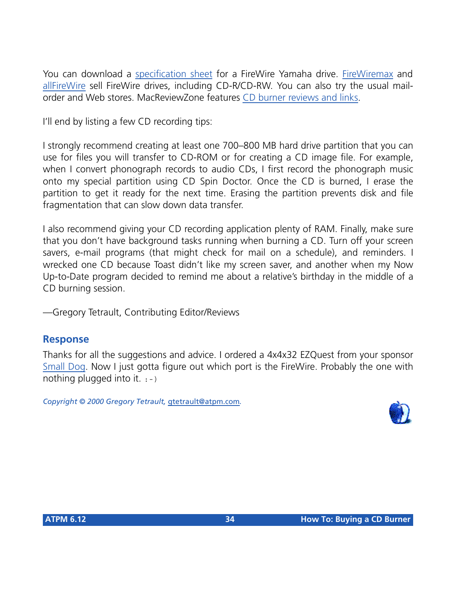You can download a [specification sheet](http://www.yamaha.com/cgi-win/Webcgi.exe/DsplyModel/?gHDR00007CRW8824FXZ) for a FireWire Yamaha drive. [FireWiremax](http://www.FireWiremax.com/) and [allFireWire](http://www.allFireWire.com/) sell FireWire drives, including CD-R/CD-RW. You can also try the usual mailorder and Web stores. MacReviewZone features [CD burner reviews and links.](http://macreviewzone.com/buyersguides/FireWireCD-RW.html)

I'll end by listing a few CD recording tips:

I strongly recommend creating at least one 700–800 MB hard drive partition that you can use for files you will transfer to CD-ROM or for creating a CD image file. For example, when I convert phonograph records to audio CDs, I first record the phonograph music onto my special partition using CD Spin Doctor. Once the CD is burned, I erase the partition to get it ready for the next time. Erasing the partition prevents disk and file fragmentation that can slow down data transfer.

I also recommend giving your CD recording application plenty of RAM. Finally, make sure that you don't have background tasks running when burning a CD. Turn off your screen savers, e-mail programs (that might check for mail on a schedule), and reminders. I wrecked one CD because Toast didn't like my screen saver, and another when my Now Up-to-Date program decided to remind me about a relative's birthday in the middle of a CD burning session.

—Gregory Tetrault, Contributing Editor/Reviews

#### **Response**

Thanks for all the suggestions and advice. I ordered a 4x4x32 EZQuest from your sponsor [Small Dog.](http://www.smalldog.com) Now I just gotta figure out which port is the FireWire. Probably the one with nothing plugged into it.  $: -$ )

*Copyright © 2000 Gregory Tetrault,* [gtetrault@atpm.com](mailto:gtetrault@atpm.com)*.*

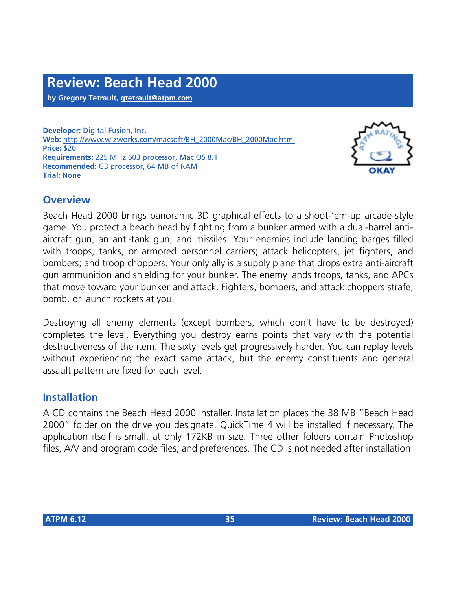**by Gregory Tetrault, [gtetrault@atpm.com](mailto:gtetrault@atpm.com)**

**Developer:** Digital Fusion, Inc. **Web:** [http://www.wizworks.com/macsoft/BH\\_2000Mac/BH\\_2000Mac.html](http://www.wizworks.com/macsoft/BH_2000Mac/BH_2000Mac.html) **Price:** \$20 **Requirements:** 225 MHz 603 processor, Mac OS 8.1 **Recommended:** G3 processor, 64 MB of RAM **Trial:** None



#### **Overview**

Beach Head 2000 brings panoramic 3D graphical effects to a shoot-'em-up arcade-style game. You protect a beach head by fighting from a bunker armed with a dual-barrel antiaircraft gun, an anti-tank gun, and missiles. Your enemies include landing barges filled with troops, tanks, or armored personnel carriers; attack helicopters, jet fighters, and bombers; and troop choppers. Your only ally is a supply plane that drops extra anti-aircraft gun ammunition and shielding for your bunker. The enemy lands troops, tanks, and APCs that move toward your bunker and attack. Fighters, bombers, and attack choppers strafe, bomb, or launch rockets at you.

Destroying all enemy elements (except bombers, which don't have to be destroyed) completes the level. Everything you destroy earns points that vary with the potential destructiveness of the item. The sixty levels get progressively harder. You can replay levels without experiencing the exact same attack, but the enemy constituents and general assault pattern are fixed for each level.

#### **Installation**

A CD contains the Beach Head 2000 installer. Installation places the 38 MB "Beach Head 2000" folder on the drive you designate. QuickTime 4 will be installed if necessary. The application itself is small, at only 172KB in size. Three other folders contain Photoshop files, A/V and program code files, and preferences. The CD is not needed after installation.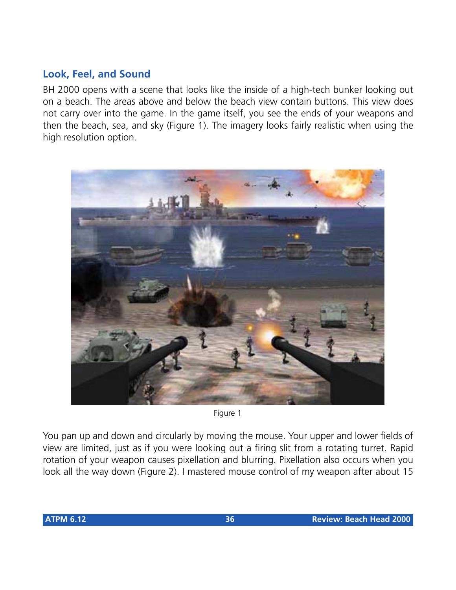#### **Look, Feel, and Sound**

BH 2000 opens with a scene that looks like the inside of a high-tech bunker looking out on a beach. The areas above and below the beach view contain buttons. This view does not carry over into the game. In the game itself, you see the ends of your weapons and then the beach, sea, and sky (Figure 1). The imagery looks fairly realistic when using the high resolution option.



Figure 1

You pan up and down and circularly by moving the mouse. Your upper and lower fields of view are limited, just as if you were looking out a firing slit from a rotating turret. Rapid rotation of your weapon causes pixellation and blurring. Pixellation also occurs when you look all the way down (Figure 2). I mastered mouse control of my weapon after about 15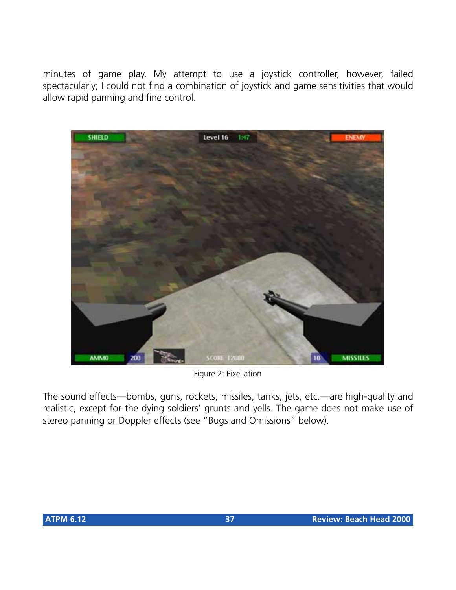minutes of game play. My attempt to use a joystick controller, however, failed spectacularly; I could not find a combination of joystick and game sensitivities that would allow rapid panning and fine control.



Figure 2: Pixellation

The sound effects—bombs, guns, rockets, missiles, tanks, jets, etc.—are high-quality and realistic, except for the dying soldiers' grunts and yells. The game does not make use of stereo panning or Doppler effects (see "Bugs and Omissions" below).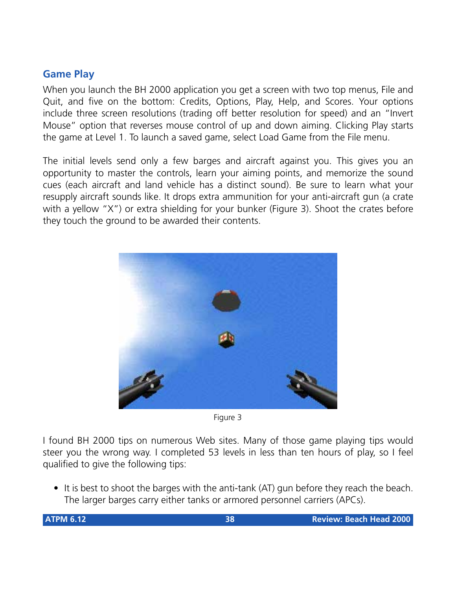# **Game Play**

When you launch the BH 2000 application you get a screen with two top menus, File and Quit, and five on the bottom: Credits, Options, Play, Help, and Scores. Your options include three screen resolutions (trading off better resolution for speed) and an "Invert Mouse" option that reverses mouse control of up and down aiming. Clicking Play starts the game at Level 1. To launch a saved game, select Load Game from the File menu.

The initial levels send only a few barges and aircraft against you. This gives you an opportunity to master the controls, learn your aiming points, and memorize the sound cues (each aircraft and land vehicle has a distinct sound). Be sure to learn what your resupply aircraft sounds like. It drops extra ammunition for your anti-aircraft gun (a crate with a yellow "X") or extra shielding for your bunker (Figure 3). Shoot the crates before they touch the ground to be awarded their contents.



Figure 3

I found BH 2000 tips on numerous Web sites. Many of those game playing tips would steer you the wrong way. I completed 53 levels in less than ten hours of play, so I feel qualified to give the following tips:

• It is best to shoot the barges with the anti-tank (AT) gun before they reach the beach. The larger barges carry either tanks or armored personnel carriers (APCs).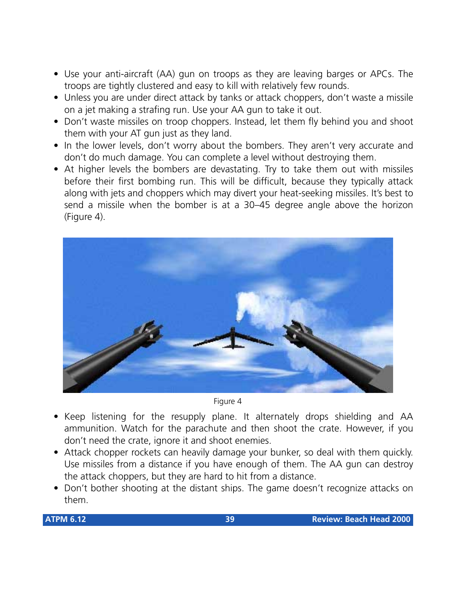- Use your anti-aircraft (AA) gun on troops as they are leaving barges or APCs. The troops are tightly clustered and easy to kill with relatively few rounds.
- Unless you are under direct attack by tanks or attack choppers, don't waste a missile on a jet making a strafing run. Use your AA gun to take it out.
- Don't waste missiles on troop choppers. Instead, let them fly behind you and shoot them with your AT gun just as they land.
- In the lower levels, don't worry about the bombers. They aren't very accurate and don't do much damage. You can complete a level without destroying them.
- At higher levels the bombers are devastating. Try to take them out with missiles before their first bombing run. This will be difficult, because they typically attack along with jets and choppers which may divert your heat-seeking missiles. It's best to send a missile when the bomber is at a 30–45 degree angle above the horizon (Figure 4).



Figure 4

- Keep listening for the resupply plane. It alternately drops shielding and AA ammunition. Watch for the parachute and then shoot the crate. However, if you don't need the crate, ignore it and shoot enemies.
- Attack chopper rockets can heavily damage your bunker, so deal with them quickly. Use missiles from a distance if you have enough of them. The AA gun can destroy the attack choppers, but they are hard to hit from a distance.
- Don't bother shooting at the distant ships. The game doesn't recognize attacks on them.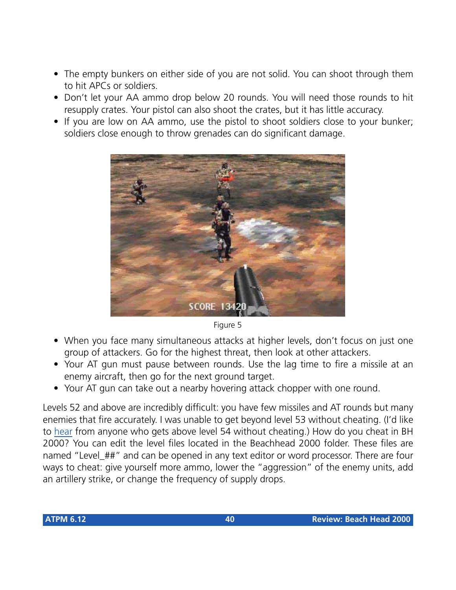- The empty bunkers on either side of you are not solid. You can shoot through them to hit APCs or soldiers.
- Don't let your AA ammo drop below 20 rounds. You will need those rounds to hit resupply crates. Your pistol can also shoot the crates, but it has little accuracy.
- If you are low on AA ammo, use the pistol to shoot soldiers close to your bunker; soldiers close enough to throw grenades can do significant damage.



Figure 5

- When you face many simultaneous attacks at higher levels, don't focus on just one group of attackers. Go for the highest threat, then look at other attackers.
- Your AT gun must pause between rounds. Use the lag time to fire a missile at an enemy aircraft, then go for the next ground target.
- Your AT gun can take out a nearby hovering attack chopper with one round.

Levels 52 and above are incredibly difficult: you have few missiles and AT rounds but many enemies that fire accurately. I was unable to get beyond level 53 without cheating. (I'd like to [hear](mailto:gtetrault@atpm.com) from anyone who gets above level 54 without cheating.) How do you cheat in BH 2000? You can edit the level files located in the Beachhead 2000 folder. These files are named "Level\_##" and can be opened in any text editor or word processor. There are four ways to cheat: give yourself more ammo, lower the "aggression" of the enemy units, add an artillery strike, or change the frequency of supply drops.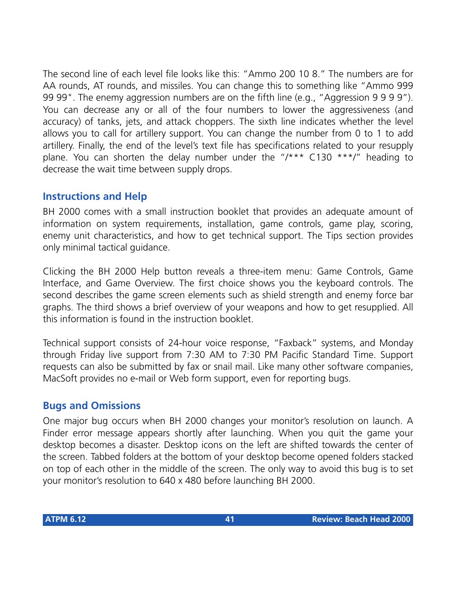The second line of each level file looks like this: "Ammo 200 10 8." The numbers are for AA rounds, AT rounds, and missiles. You can change this to something like "Ammo 999 99 99". The enemy aggression numbers are on the fifth line (e.g., "Aggression 9 9 9 9"). You can decrease any or all of the four numbers to lower the aggressiveness (and accuracy) of tanks, jets, and attack choppers. The sixth line indicates whether the level allows you to call for artillery support. You can change the number from 0 to 1 to add artillery. Finally, the end of the level's text file has specifications related to your resupply plane. You can shorten the delay number under the "/\*\*\* C130 \*\*\*/" heading to decrease the wait time between supply drops.

# **Instructions and Help**

BH 2000 comes with a small instruction booklet that provides an adequate amount of information on system requirements, installation, game controls, game play, scoring, enemy unit characteristics, and how to get technical support. The Tips section provides only minimal tactical guidance.

Clicking the BH 2000 Help button reveals a three-item menu: Game Controls, Game Interface, and Game Overview. The first choice shows you the keyboard controls. The second describes the game screen elements such as shield strength and enemy force bar graphs. The third shows a brief overview of your weapons and how to get resupplied. All this information is found in the instruction booklet.

Technical support consists of 24-hour voice response, "Faxback" systems, and Monday through Friday live support from 7:30 AM to 7:30 PM Pacific Standard Time. Support requests can also be submitted by fax or snail mail. Like many other software companies, MacSoft provides no e-mail or Web form support, even for reporting bugs.

## **Bugs and Omissions**

One major bug occurs when BH 2000 changes your monitor's resolution on launch. A Finder error message appears shortly after launching. When you quit the game your desktop becomes a disaster. Desktop icons on the left are shifted towards the center of the screen. Tabbed folders at the bottom of your desktop become opened folders stacked on top of each other in the middle of the screen. The only way to avoid this bug is to set your monitor's resolution to 640 x 480 before launching BH 2000.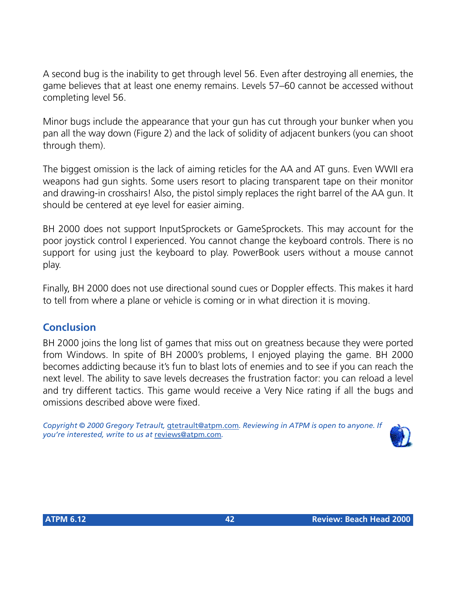A second bug is the inability to get through level 56. Even after destroying all enemies, the game believes that at least one enemy remains. Levels 57–60 cannot be accessed without completing level 56.

Minor bugs include the appearance that your gun has cut through your bunker when you pan all the way down (Figure 2) and the lack of solidity of adjacent bunkers (you can shoot through them).

The biggest omission is the lack of aiming reticles for the AA and AT guns. Even WWII era weapons had gun sights. Some users resort to placing transparent tape on their monitor and drawing-in crosshairs! Also, the pistol simply replaces the right barrel of the AA gun. It should be centered at eye level for easier aiming.

BH 2000 does not support InputSprockets or GameSprockets. This may account for the poor joystick control I experienced. You cannot change the keyboard controls. There is no support for using just the keyboard to play. PowerBook users without a mouse cannot play.

Finally, BH 2000 does not use directional sound cues or Doppler effects. This makes it hard to tell from where a plane or vehicle is coming or in what direction it is moving.

# **Conclusion**

BH 2000 joins the long list of games that miss out on greatness because they were ported from Windows. In spite of BH 2000's problems, I enjoyed playing the game. BH 2000 becomes addicting because it's fun to blast lots of enemies and to see if you can reach the next level. The ability to save levels decreases the frustration factor: you can reload a level and try different tactics. This game would receive a Very Nice rating if all the bugs and omissions described above were fixed.

*Copyright © 2000 Gregory Tetrault,* [gtetrault@atpm.com](mailto:gtetrault@atpm.com)*. Reviewing in ATPM is open to anyone. If you're interested, write to us at* [reviews@atpm.com](mailto:reviews@atpm.com)*.*

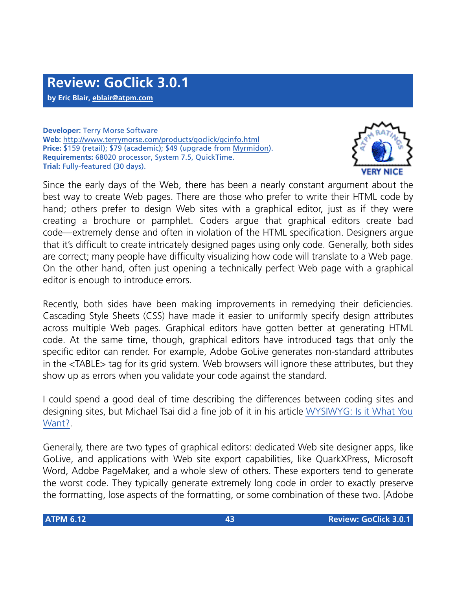**by Eric Blair, [eblair@atpm.com](mailto:eblair@atpm.com)**

**Developer:** Terry Morse Software **Web:** <http://www.terrymorse.com/products/goclick/gcinfo.html> **Price:** \$159 (retail); \$79 (academic); \$49 (upgrade from [Myrmidon\)](http://www.atpm.com/4.02/page14.shtml). **Requirements:** 68020 processor, System 7.5, QuickTime. **Trial:** Fully-featured (30 days).



Since the early days of the Web, there has been a nearly constant argument about the best way to create Web pages. There are those who prefer to write their HTML code by hand; others prefer to design Web sites with a graphical editor, just as if they were creating a brochure or pamphlet. Coders argue that graphical editors create bad code—extremely dense and often in violation of the HTML specification. Designers argue that it's difficult to create intricately designed pages using only code. Generally, both sides are correct; many people have difficulty visualizing how code will translate to a Web page. On the other hand, often just opening a technically perfect Web page with a graphical editor is enough to introduce errors.

Recently, both sides have been making improvements in remedying their deficiencies. Cascading Style Sheets (CSS) have made it easier to uniformly specify design attributes across multiple Web pages. Graphical editors have gotten better at generating HTML code. At the same time, though, graphical editors have introduced tags that only the specific editor can render. For example, Adobe GoLive generates non-standard attributes in the <TABLE> tag for its grid system. Web browsers will ignore these attributes, but they show up as errors when you validate your code against the standard.

I could spend a good deal of time describing the differences between coding sites and designing sites, but Michael Tsai did a fine job of it in his article [WYSIWYG: Is it What You](http://www.atpm.com/4.12/page7.shtml) [Want?.](http://www.atpm.com/4.12/page7.shtml)

Generally, there are two types of graphical editors: dedicated Web site designer apps, like GoLive, and applications with Web site export capabilities, like QuarkXPress, Microsoft Word, Adobe PageMaker, and a whole slew of others. These exporters tend to generate the worst code. They typically generate extremely long code in order to exactly preserve the formatting, lose aspects of the formatting, or some combination of these two. [Adobe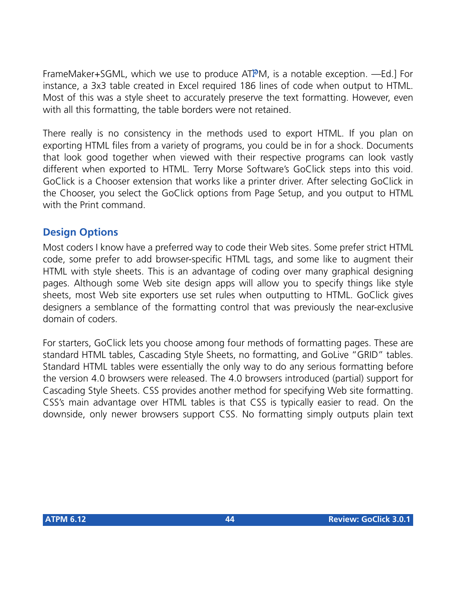FrameMaker+SGML, which we use to produce ATPM, is a notable exception. —Ed.] For instance, a 3x3 table created in Excel required 186 lines of code when output to HTML. Most of this was a style sheet to accurately preserve the text formatting. However, even with all this formatting, the table borders were not retained.

There really is no consistency in the methods used to export HTML. If you plan on exporting HTML files from a variety of programs, you could be in for a shock. Documents that look good together when viewed with their respective programs can look vastly different when exported to HTML. Terry Morse Software's GoClick steps into this void. GoClick is a Chooser extension that works like a printer driver. After selecting GoClick in the Chooser, you select the GoClick options from Page Setup, and you output to HTML with the Print command.

# **Design Options**

Most coders I know have a preferred way to code their Web sites. Some prefer strict HTML code, some prefer to add browser-specific HTML tags, and some like to augment their HTML with style sheets. This is an advantage of coding over many graphical designing pages. Although some Web site design apps will allow you to specify things like style sheets, most Web site exporters use set rules when outputting to HTML. GoClick gives designers a semblance of the formatting control that was previously the near-exclusive domain of coders.

For starters, GoClick lets you choose among four methods of formatting pages. These are standard HTML tables, Cascading Style Sheets, no formatting, and GoLive "GRID" tables. Standard HTML tables were essentially the only way to do any serious formatting before the version 4.0 browsers were released. The 4.0 browsers introduced (partial) support for Cascading Style Sheets. CSS provides another method for specifying Web site formatting. CSS's main advantage over HTML tables is that CSS is typically easier to read. On the downside, only newer browsers support CSS. No formatting simply outputs plain text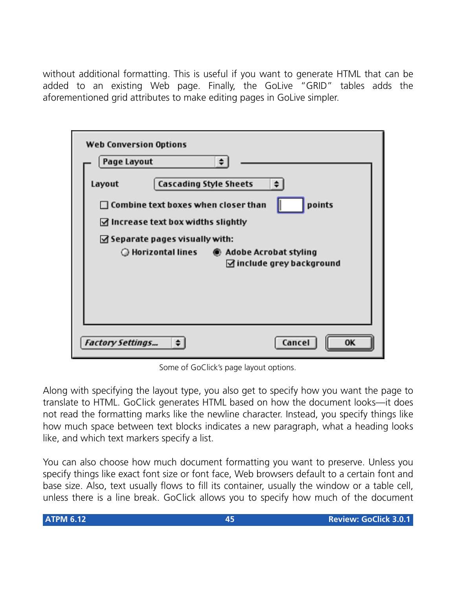without additional formatting. This is useful if you want to generate HTML that can be added to an existing Web page. Finally, the GoLive "GRID" tables adds the aforementioned grid attributes to make editing pages in GoLive simpler.

| <b>Web Conversion Options</b>                                                                                                                        |  |
|------------------------------------------------------------------------------------------------------------------------------------------------------|--|
| Page Layout<br>÷                                                                                                                                     |  |
| <b>Cascading Style Sheets</b><br>Layout<br>points<br>$\Box$ Combine text boxes when closer than<br>$\triangleleft$ Increase text box widths slightly |  |
| $\triangleleft$ Separate pages visually with:                                                                                                        |  |
| $\triangleleft$ include grey background                                                                                                              |  |
| Cancel<br><b>Factory Settings</b><br>0K                                                                                                              |  |

Some of GoClick's page layout options.

Along with specifying the layout type, you also get to specify how you want the page to translate to HTML. GoClick generates HTML based on how the document looks—it does not read the formatting marks like the newline character. Instead, you specify things like how much space between text blocks indicates a new paragraph, what a heading looks like, and which text markers specify a list.

You can also choose how much document formatting you want to preserve. Unless you specify things like exact font size or font face, Web browsers default to a certain font and base size. Also, text usually flows to fill its container, usually the window or a table cell, unless there is a line break. GoClick allows you to specify how much of the document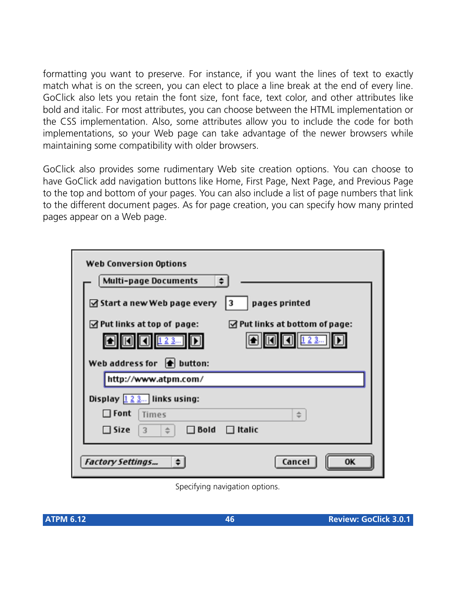formatting you want to preserve. For instance, if you want the lines of text to exactly match what is on the screen, you can elect to place a line break at the end of every line. GoClick also lets you retain the font size, font face, text color, and other attributes like bold and italic. For most attributes, you can choose between the HTML implementation or the CSS implementation. Also, some attributes allow you to include the code for both implementations, so your Web page can take advantage of the newer browsers while maintaining some compatibility with older browsers.

GoClick also provides some rudimentary Web site creation options. You can choose to have GoClick add navigation buttons like Home, First Page, Next Page, and Previous Page to the top and bottom of your pages. You can also include a list of page numbers that link to the different document pages. As for page creation, you can specify how many printed pages appear on a Web page.

| <b>Web Conversion Options</b>                                                     |  |  |  |  |
|-----------------------------------------------------------------------------------|--|--|--|--|
| ٠<br><b>Multi-page Documents</b>                                                  |  |  |  |  |
| ☑ Start a new Web page every<br>3<br>pages printed                                |  |  |  |  |
| $\triangle$ Put links at top of page:<br>$\boxtimes$ Put links at bottom of page: |  |  |  |  |
| 123<br>123                                                                        |  |  |  |  |
| Web address for $\left  \bullet \right $ button:                                  |  |  |  |  |
| http://www.atpm.com/                                                              |  |  |  |  |
| Display $\boxed{1, 2, 3}$ links using:                                            |  |  |  |  |
| $\Box$ Font<br>Times<br>$\div$                                                    |  |  |  |  |
| $\square$ Size<br>$\Box$ Bold<br>$\Box$ Italic<br>3<br>$\Rightarrow$              |  |  |  |  |
| Cancel<br><b>OK</b><br><b>Factory Settings</b>                                    |  |  |  |  |

Specifying navigation options.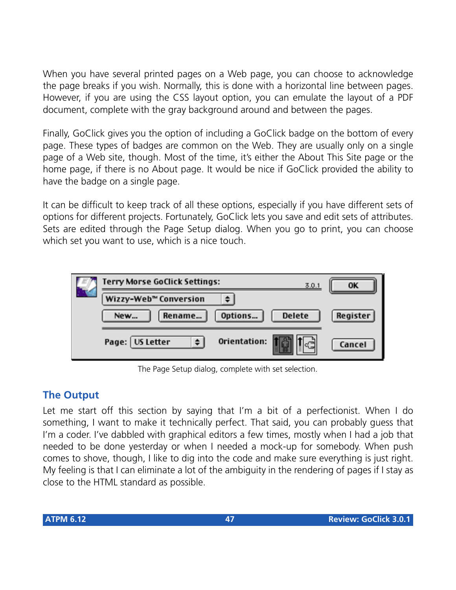When you have several printed pages on a Web page, you can choose to acknowledge the page breaks if you wish. Normally, this is done with a horizontal line between pages. However, if you are using the CSS layout option, you can emulate the layout of a PDF document, complete with the gray background around and between the pages.

Finally, GoClick gives you the option of including a GoClick badge on the bottom of every page. These types of badges are common on the Web. They are usually only on a single page of a Web site, though. Most of the time, it's either the About This Site page or the home page, if there is no About page. It would be nice if GoClick provided the ability to have the badge on a single page.

It can be difficult to keep track of all these options, especially if you have different sets of options for different projects. Fortunately, GoClick lets you save and edit sets of attributes. Sets are edited through the Page Setup dialog. When you go to print, you can choose which set you want to use, which is a nice touch.

| Terry Morse GoClick Settings:     |                          | 3.0.1 | OK       |
|-----------------------------------|--------------------------|-------|----------|
| Wizzy-Web <sup>™</sup> Conversion |                          |       |          |
| Rename<br>New                     | Options<br><b>Delete</b> |       | Register |
| Page: US Letter                   | Orientation:             |       | Cancel   |

The Page Setup dialog, complete with set selection.

# **The Output**

Let me start off this section by saying that I'm a bit of a perfectionist. When I do something, I want to make it technically perfect. That said, you can probably guess that I'm a coder. I've dabbled with graphical editors a few times, mostly when I had a job that needed to be done yesterday or when I needed a mock-up for somebody. When push comes to shove, though, I like to dig into the code and make sure everything is just right. My feeling is that I can eliminate a lot of the ambiguity in the rendering of pages if I stay as close to the HTML standard as possible.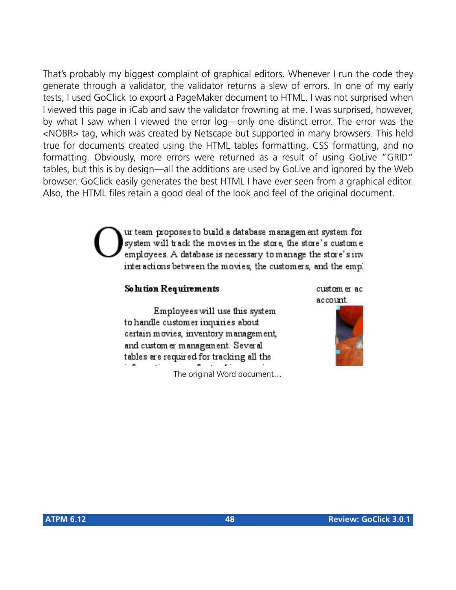That's probably my biggest complaint of graphical editors. Whenever I run the code they generate through a validator, the validator returns a slew of errors. In one of my early tests, I used GoClick to export a PageMaker document to HTML. I was not surprised when I viewed this page in iCab and saw the validator frowning at me. I was surprised, however, by what I saw when I viewed the error log—only one distinct error. The error was the <NOBR> tag, which was created by Netscape but supported in many browsers. This held true for documents created using the HTML tables formatting, CSS formatting, and no formatting. Obviously, more errors were returned as a result of using GoLive "GRID" tables, but this is by design—all the additions are used by GoLive and ignored by the Web browser. GoClick easily generates the best HTML I have ever seen from a graphical editor. Also, the HTML files retain a good deal of the look and feel of the original document.

> ur team proposes to build a database managem ent system for system will track the movies in the store, the store's custome employees. A database is necessary to manage the store's inv interactions between the movies, the customers, and the emp.

#### So lution Requirements

Employees will use this system to handle customer inquiries about certain movies, inventory management, and custom er management. Several tables are required for tracking all the

The original Word document…



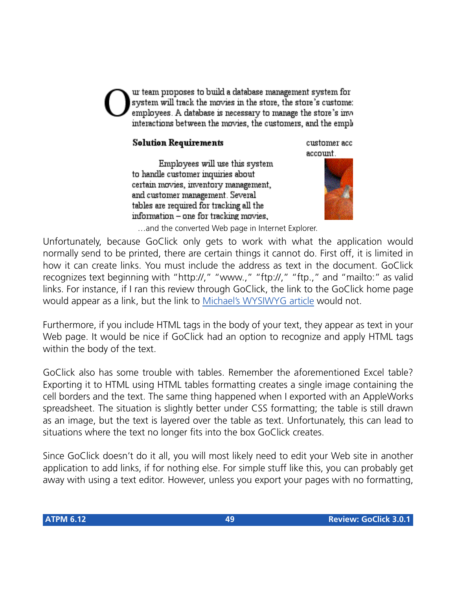ur team proposes to build a database management system for system will track the movies in the store, the store's custome: employees. A database is necessary to manage the store's invinteractions between the movies, the customers, and the empl

#### **Solution Requirements**

Employees will use this system to handle customer inquiries about certain movies, inventory management, and customer management. Several tables are required for tracking all the information – one for tracking movies.

customer acc account.



…and the converted Web page in Internet Explorer.

Unfortunately, because GoClick only gets to work with what the application would normally send to be printed, there are certain things it cannot do. First off, it is limited in how it can create links. You must include the address as text in the document. GoClick recognizes text beginning with "http://," "www.," "ftp://," "ftp.," and "mailto:" as valid links. For instance, if I ran this review through GoClick, the link to the GoClick home page would appear as a link, but the link to [Michael's WYSIWYG article](http://www.atpm.com/4.12/page7.shtml) would not.

Furthermore, if you include HTML tags in the body of your text, they appear as text in your Web page. It would be nice if GoClick had an option to recognize and apply HTML tags within the body of the text.

GoClick also has some trouble with tables. Remember the aforementioned Excel table? Exporting it to HTML using HTML tables formatting creates a single image containing the cell borders and the text. The same thing happened when I exported with an AppleWorks spreadsheet. The situation is slightly better under CSS formatting; the table is still drawn as an image, but the text is layered over the table as text. Unfortunately, this can lead to situations where the text no longer fits into the box GoClick creates.

Since GoClick doesn't do it all, you will most likely need to edit your Web site in another application to add links, if for nothing else. For simple stuff like this, you can probably get away with using a text editor. However, unless you export your pages with no formatting,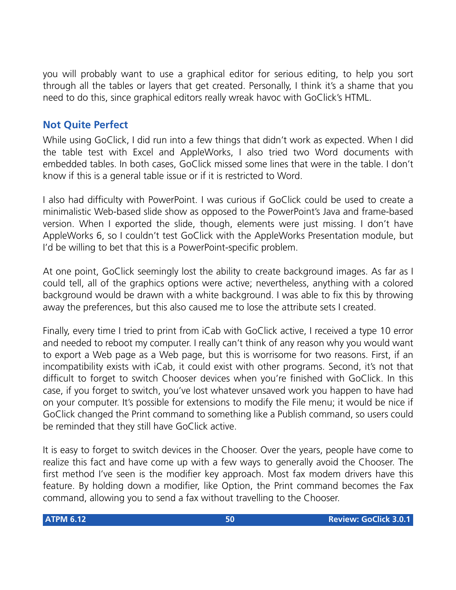you will probably want to use a graphical editor for serious editing, to help you sort through all the tables or layers that get created. Personally, I think it's a shame that you need to do this, since graphical editors really wreak havoc with GoClick's HTML.

# **Not Quite Perfect**

While using GoClick, I did run into a few things that didn't work as expected. When I did the table test with Excel and AppleWorks, I also tried two Word documents with embedded tables. In both cases, GoClick missed some lines that were in the table. I don't know if this is a general table issue or if it is restricted to Word.

I also had difficulty with PowerPoint. I was curious if GoClick could be used to create a minimalistic Web-based slide show as opposed to the PowerPoint's Java and frame-based version. When I exported the slide, though, elements were just missing. I don't have AppleWorks 6, so I couldn't test GoClick with the AppleWorks Presentation module, but I'd be willing to bet that this is a PowerPoint-specific problem.

At one point, GoClick seemingly lost the ability to create background images. As far as I could tell, all of the graphics options were active; nevertheless, anything with a colored background would be drawn with a white background. I was able to fix this by throwing away the preferences, but this also caused me to lose the attribute sets I created.

Finally, every time I tried to print from iCab with GoClick active, I received a type 10 error and needed to reboot my computer. I really can't think of any reason why you would want to export a Web page as a Web page, but this is worrisome for two reasons. First, if an incompatibility exists with iCab, it could exist with other programs. Second, it's not that difficult to forget to switch Chooser devices when you're finished with GoClick. In this case, if you forget to switch, you've lost whatever unsaved work you happen to have had on your computer. It's possible for extensions to modify the File menu; it would be nice if GoClick changed the Print command to something like a Publish command, so users could be reminded that they still have GoClick active.

It is easy to forget to switch devices in the Chooser. Over the years, people have come to realize this fact and have come up with a few ways to generally avoid the Chooser. The first method I've seen is the modifier key approach. Most fax modem drivers have this feature. By holding down a modifier, like Option, the Print command becomes the Fax command, allowing you to send a fax without travelling to the Chooser.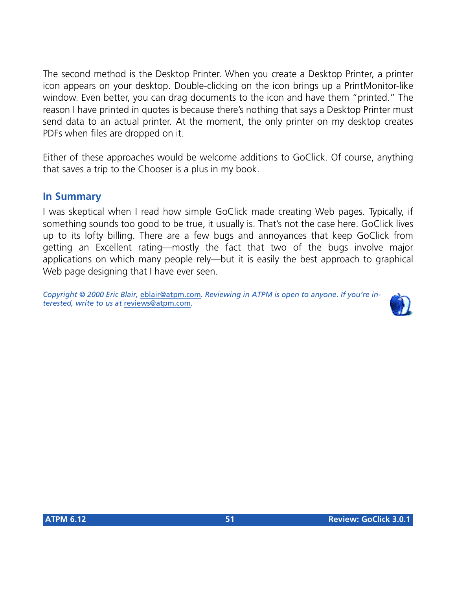The second method is the Desktop Printer. When you create a Desktop Printer, a printer icon appears on your desktop. Double-clicking on the icon brings up a PrintMonitor-like window. Even better, you can drag documents to the icon and have them "printed." The reason I have printed in quotes is because there's nothing that says a Desktop Printer must send data to an actual printer. At the moment, the only printer on my desktop creates PDFs when files are dropped on it.

Either of these approaches would be welcome additions to GoClick. Of course, anything that saves a trip to the Chooser is a plus in my book.

#### **In Summary**

I was skeptical when I read how simple GoClick made creating Web pages. Typically, if something sounds too good to be true, it usually is. That's not the case here. GoClick lives up to its lofty billing. There are a few bugs and annoyances that keep GoClick from getting an Excellent rating—mostly the fact that two of the bugs involve major applications on which many people rely—but it is easily the best approach to graphical Web page designing that I have ever seen.

*Copyright © 2000 Eric Blair,* [eblair@atpm.com](mailto:eblair@atpm.com)*. Reviewing in ATPM is open to anyone. If you're interested, write to us at* [reviews@atpm.com](mailto:reviews@atpm.com)*.*

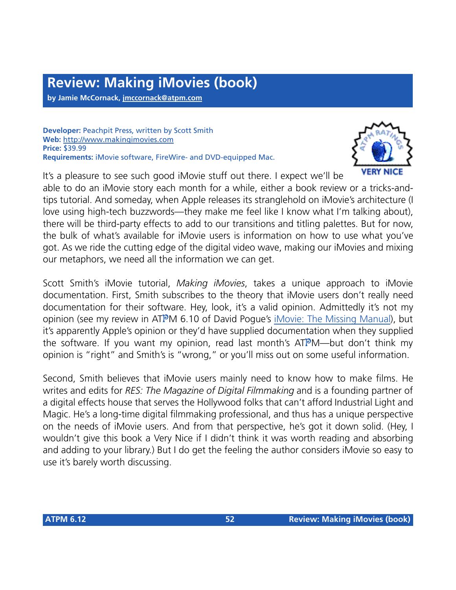**by Jamie McCornack, [jmccornack@atpm.com](mailto:jmccornack@atpm.com)**

**Developer:** Peachpit Press, written by Scott Smith **Web:** <http://www.makingimovies.com> **Price:** \$39.99 **Requirements:** iMovie software, FireWire- and DVD-equipped Mac.



It's a pleasure to see such good iMovie stuff out there. I expect we'll be

able to do an iMovie story each month for a while, either a book review or a tricks-andtips tutorial. And someday, when Apple releases its stranglehold on iMovie's architecture (I love using high-tech buzzwords—they make me feel like I know what I'm talking about), there will be third-party effects to add to our transitions and titling palettes. But for now, the bulk of what's available for iMovie users is information on how to use what you've got. As we ride the cutting edge of the digital video wave, making our iMovies and mixing our metaphors, we need all the information we can get.

Scott Smith's iMovie tutorial, *Making iMovies*, takes a unique approach to iMovie documentation. First, Smith subscribes to the theory that iMovie users don't really need documentation for their software. Hey, look, it's a valid opinion. Admittedly it's not my opinion (see my review in ATPM 6.10 of David Pogue's [iMovie: The Missing Manual](http://www.atpm.com/6.10/imovie-missing-manual.shtml)), but it's apparently Apple's opinion or they'd have supplied documentation when they supplied the software. If you want my opinion, read last month's ATPM—but don't think my opinion is "right" and Smith's is "wrong," or you'll miss out on some useful information.

Second, Smith believes that iMovie users mainly need to know how to make films. He writes and edits for *RES: The Magazine of Digital Filmmaking* and is a founding partner of a digital effects house that serves the Hollywood folks that can't afford Industrial Light and Magic. He's a long-time digital filmmaking professional, and thus has a unique perspective on the needs of iMovie users. And from that perspective, he's got it down solid. (Hey, I wouldn't give this book a Very Nice if I didn't think it was worth reading and absorbing and adding to your library.) But I do get the feeling the author considers iMovie so easy to use it's barely worth discussing.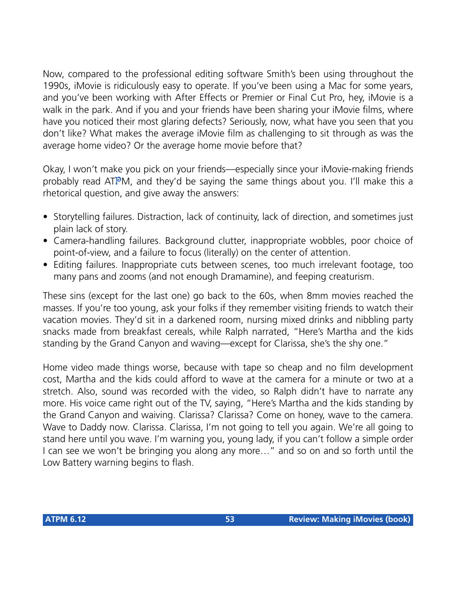Now, compared to the professional editing software Smith's been using throughout the 1990s, iMovie is ridiculously easy to operate. If you've been using a Mac for some years, and you've been working with After Effects or Premier or Final Cut Pro, hey, iMovie is a walk in the park. And if you and your friends have been sharing your iMovie films, where have you noticed their most glaring defects? Seriously, now, what have you seen that you don't like? What makes the average iMovie film as challenging to sit through as was the average home video? Or the average home movie before that?

Okay, I won't make you pick on your friends—especially since your iMovie-making friends probably read ATPM, and they'd be saying the same things about you. I'll make this a rhetorical question, and give away the answers:

- Storytelling failures. Distraction, lack of continuity, lack of direction, and sometimes just plain lack of story.
- Camera-handling failures. Background clutter, inappropriate wobbles, poor choice of point-of-view, and a failure to focus (literally) on the center of attention.
- Editing failures. Inappropriate cuts between scenes, too much irrelevant footage, too many pans and zooms (and not enough Dramamine), and feeping creaturism.

These sins (except for the last one) go back to the 60s, when 8mm movies reached the masses. If you're too young, ask your folks if they remember visiting friends to watch their vacation movies. They'd sit in a darkened room, nursing mixed drinks and nibbling party snacks made from breakfast cereals, while Ralph narrated, "Here's Martha and the kids standing by the Grand Canyon and waving—except for Clarissa, she's the shy one."

Home video made things worse, because with tape so cheap and no film development cost, Martha and the kids could afford to wave at the camera for a minute or two at a stretch. Also, sound was recorded with the video, so Ralph didn't have to narrate any more. His voice came right out of the TV, saying, "Here's Martha and the kids standing by the Grand Canyon and waiving. Clarissa? Clarissa? Come on honey, wave to the camera. Wave to Daddy now. Clarissa. Clarissa, I'm not going to tell you again. We're all going to stand here until you wave. I'm warning you, young lady, if you can't follow a simple order I can see we won't be bringing you along any more…" and so on and so forth until the Low Battery warning begins to flash.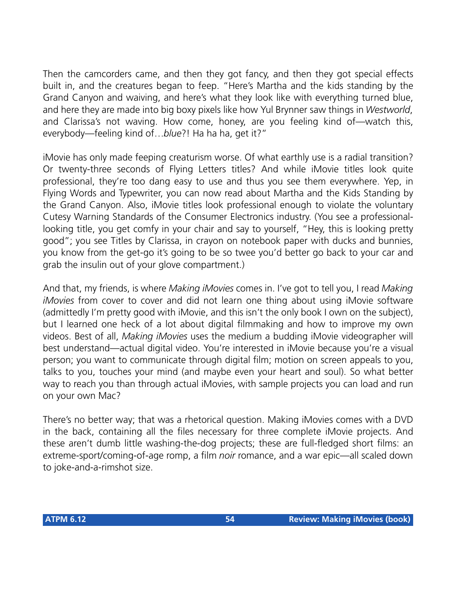Then the camcorders came, and then they got fancy, and then they got special effects built in, and the creatures began to feep. "Here's Martha and the kids standing by the Grand Canyon and waiving, and here's what they look like with everything turned blue, and here they are made into big boxy pixels like how Yul Brynner saw things in *Westworld*, and Clarissa's not waving. How come, honey, are you feeling kind of—watch this, everybody—feeling kind of…*blue*?! Ha ha ha, get it?"

iMovie has only made feeping creaturism worse. Of what earthly use is a radial transition? Or twenty-three seconds of Flying Letters titles? And while iMovie titles look quite professional, they're too dang easy to use and thus you see them everywhere. Yep, in Flying Words and Typewriter, you can now read about Martha and the Kids Standing by the Grand Canyon. Also, iMovie titles look professional enough to violate the voluntary Cutesy Warning Standards of the Consumer Electronics industry. (You see a professionallooking title, you get comfy in your chair and say to yourself, "Hey, this is looking pretty good"; you see Titles by Clarissa, in crayon on notebook paper with ducks and bunnies, you know from the get-go it's going to be so twee you'd better go back to your car and grab the insulin out of your glove compartment.)

And that, my friends, is where *Making iMovies* comes in. I've got to tell you, I read *Making iMovies* from cover to cover and did not learn one thing about using iMovie software (admittedly I'm pretty good with iMovie, and this isn't the only book I own on the subject), but I learned one heck of a lot about digital filmmaking and how to improve my own videos. Best of all, *Making iMovies* uses the medium a budding iMovie videographer will best understand—actual digital video. You're interested in iMovie because you're a visual person; you want to communicate through digital film; motion on screen appeals to you, talks to you, touches your mind (and maybe even your heart and soul). So what better way to reach you than through actual iMovies, with sample projects you can load and run on your own Mac?

There's no better way; that was a rhetorical question. Making iMovies comes with a DVD in the back, containing all the files necessary for three complete iMovie projects. And these aren't dumb little washing-the-dog projects; these are full-fledged short films: an extreme-sport/coming-of-age romp, a film *noir* romance, and a war epic—all scaled down to joke-and-a-rimshot size.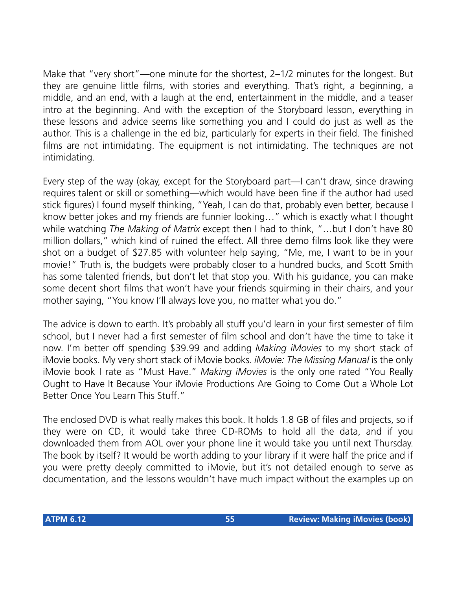Make that "very short"—one minute for the shortest, 2–1/2 minutes for the longest. But they are genuine little films, with stories and everything. That's right, a beginning, a middle, and an end, with a laugh at the end, entertainment in the middle, and a teaser intro at the beginning. And with the exception of the Storyboard lesson, everything in these lessons and advice seems like something you and I could do just as well as the author. This is a challenge in the ed biz, particularly for experts in their field. The finished films are not intimidating. The equipment is not intimidating. The techniques are not intimidating.

Every step of the way (okay, except for the Storyboard part—I can't draw, since drawing requires talent or skill or something—which would have been fine if the author had used stick figures) I found myself thinking, "Yeah, I can do that, probably even better, because I know better jokes and my friends are funnier looking…" which is exactly what I thought while watching *The Making of Matrix* except then I had to think, "…but I don't have 80 million dollars," which kind of ruined the effect. All three demo films look like they were shot on a budget of \$27.85 with volunteer help saying, "Me, me, I want to be in your movie!" Truth is, the budgets were probably closer to a hundred bucks, and Scott Smith has some talented friends, but don't let that stop you. With his guidance, you can make some decent short films that won't have your friends squirming in their chairs, and your mother saying, "You know I'll always love you, no matter what you do."

The advice is down to earth. It's probably all stuff you'd learn in your first semester of film school, but I never had a first semester of film school and don't have the time to take it now. I'm better off spending \$39.99 and adding *Making iMovies* to my short stack of iMovie books. My very short stack of iMovie books. *iMovie: The Missing Manual* is the only iMovie book I rate as "Must Have." *Making iMovies* is the only one rated "You Really Ought to Have It Because Your iMovie Productions Are Going to Come Out a Whole Lot Better Once You Learn This Stuff."

The enclosed DVD is what really makes this book. It holds 1.8 GB of files and projects, so if they were on CD, it would take three CD-ROMs to hold all the data, and if you downloaded them from AOL over your phone line it would take you until next Thursday. The book by itself? It would be worth adding to your library if it were half the price and if you were pretty deeply committed to iMovie, but it's not detailed enough to serve as documentation, and the lessons wouldn't have much impact without the examples up on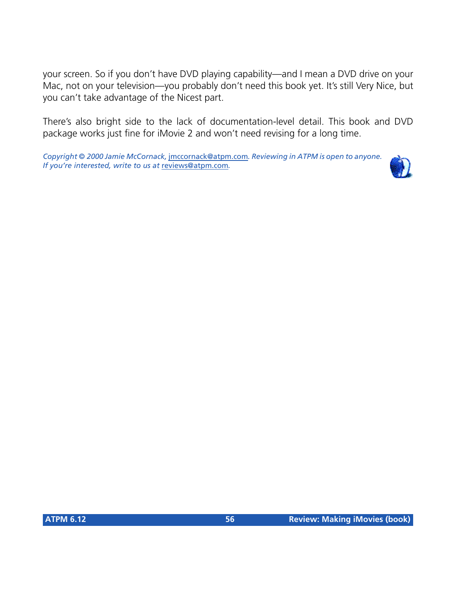your screen. So if you don't have DVD playing capability—and I mean a DVD drive on your Mac, not on your television—you probably don't need this book yet. It's still Very Nice, but you can't take advantage of the Nicest part.

There's also bright side to the lack of documentation-level detail. This book and DVD package works just fine for iMovie 2 and won't need revising for a long time.

*Copyright © 2000 Jamie McCornack,* [jmccornack@atpm.com](mailto:jmccornack@atpm.com)*. Reviewing in ATPM is open to anyone. If you're interested, write to us at* [reviews@atpm.com](mailto:reviews@atpm.com)*.*

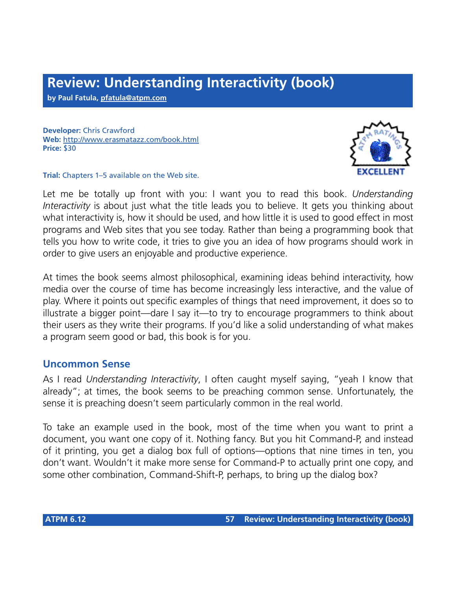# **Review: Understanding Interactivity (book)**

**by Paul Fatula, [pfatula@atpm.com](mailto:pfatula@atpm.com)**

**Developer:** Chris Crawford **Web:** <http://www.erasmatazz.com/book.html> **Price:** \$30



**Trial:** Chapters 1–5 available on the Web site.

Let me be totally up front with you: I want you to read this book. *Understanding Interactivity* is about just what the title leads you to believe. It gets you thinking about what interactivity is, how it should be used, and how little it is used to good effect in most programs and Web sites that you see today. Rather than being a programming book that tells you how to write code, it tries to give you an idea of how programs should work in order to give users an enjoyable and productive experience.

At times the book seems almost philosophical, examining ideas behind interactivity, how media over the course of time has become increasingly less interactive, and the value of play. Where it points out specific examples of things that need improvement, it does so to illustrate a bigger point—dare I say it—to try to encourage programmers to think about their users as they write their programs. If you'd like a solid understanding of what makes a program seem good or bad, this book is for you.

#### **Uncommon Sense**

As I read *Understanding Interactivity*, I often caught myself saying, "yeah I know that already"; at times, the book seems to be preaching common sense. Unfortunately, the sense it is preaching doesn't seem particularly common in the real world.

To take an example used in the book, most of the time when you want to print a document, you want one copy of it. Nothing fancy. But you hit Command-P, and instead of it printing, you get a dialog box full of options—options that nine times in ten, you don't want. Wouldn't it make more sense for Command-P to actually print one copy, and some other combination, Command-Shift-P, perhaps, to bring up the dialog box?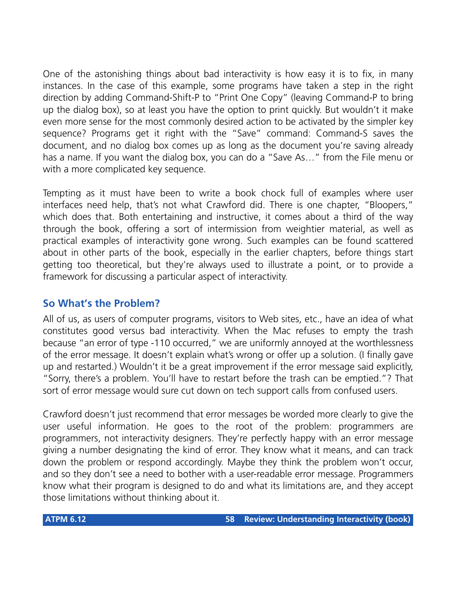One of the astonishing things about bad interactivity is how easy it is to fix, in many instances. In the case of this example, some programs have taken a step in the right direction by adding Command-Shift-P to "Print One Copy" (leaving Command-P to bring up the dialog box), so at least you have the option to print quickly. But wouldn't it make even more sense for the most commonly desired action to be activated by the simpler key sequence? Programs get it right with the "Save" command: Command-S saves the document, and no dialog box comes up as long as the document you're saving already has a name. If you want the dialog box, you can do a "Save As…" from the File menu or with a more complicated key sequence.

Tempting as it must have been to write a book chock full of examples where user interfaces need help, that's not what Crawford did. There is one chapter, "Bloopers," which does that. Both entertaining and instructive, it comes about a third of the way through the book, offering a sort of intermission from weightier material, as well as practical examples of interactivity gone wrong. Such examples can be found scattered about in other parts of the book, especially in the earlier chapters, before things start getting too theoretical, but they're always used to illustrate a point, or to provide a framework for discussing a particular aspect of interactivity.

## **So What's the Problem?**

All of us, as users of computer programs, visitors to Web sites, etc., have an idea of what constitutes good versus bad interactivity. When the Mac refuses to empty the trash because "an error of type -110 occurred," we are uniformly annoyed at the worthlessness of the error message. It doesn't explain what's wrong or offer up a solution. (I finally gave up and restarted.) Wouldn't it be a great improvement if the error message said explicitly, "Sorry, there's a problem. You'll have to restart before the trash can be emptied."? That sort of error message would sure cut down on tech support calls from confused users.

Crawford doesn't just recommend that error messages be worded more clearly to give the user useful information. He goes to the root of the problem: programmers are programmers, not interactivity designers. They're perfectly happy with an error message giving a number designating the kind of error. They know what it means, and can track down the problem or respond accordingly. Maybe they think the problem won't occur, and so they don't see a need to bother with a user-readable error message. Programmers know what their program is designed to do and what its limitations are, and they accept those limitations without thinking about it.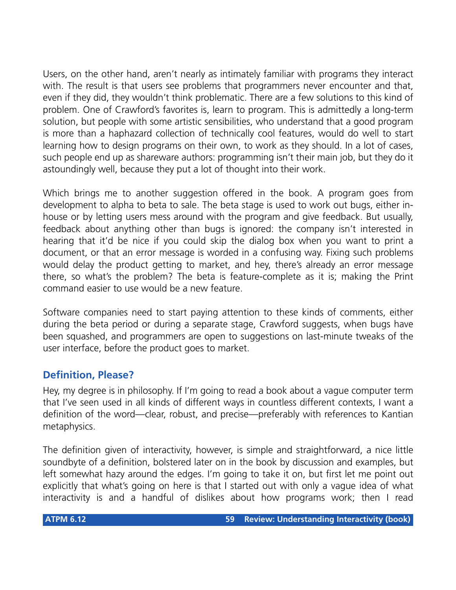Users, on the other hand, aren't nearly as intimately familiar with programs they interact with. The result is that users see problems that programmers never encounter and that, even if they did, they wouldn't think problematic. There are a few solutions to this kind of problem. One of Crawford's favorites is, learn to program. This is admittedly a long-term solution, but people with some artistic sensibilities, who understand that a good program is more than a haphazard collection of technically cool features, would do well to start learning how to design programs on their own, to work as they should. In a lot of cases, such people end up as shareware authors: programming isn't their main job, but they do it astoundingly well, because they put a lot of thought into their work.

Which brings me to another suggestion offered in the book. A program goes from development to alpha to beta to sale. The beta stage is used to work out bugs, either inhouse or by letting users mess around with the program and give feedback. But usually, feedback about anything other than bugs is ignored: the company isn't interested in hearing that it'd be nice if you could skip the dialog box when you want to print a document, or that an error message is worded in a confusing way. Fixing such problems would delay the product getting to market, and hey, there's already an error message there, so what's the problem? The beta is feature-complete as it is; making the Print command easier to use would be a new feature.

Software companies need to start paying attention to these kinds of comments, either during the beta period or during a separate stage, Crawford suggests, when bugs have been squashed, and programmers are open to suggestions on last-minute tweaks of the user interface, before the product goes to market.

## **Definition, Please?**

Hey, my degree is in philosophy. If I'm going to read a book about a vague computer term that I've seen used in all kinds of different ways in countless different contexts, I want a definition of the word—clear, robust, and precise—preferably with references to Kantian metaphysics.

The definition given of interactivity, however, is simple and straightforward, a nice little soundbyte of a definition, bolstered later on in the book by discussion and examples, but left somewhat hazy around the edges. I'm going to take it on, but first let me point out explicitly that what's going on here is that I started out with only a vague idea of what interactivity is and a handful of dislikes about how programs work; then I read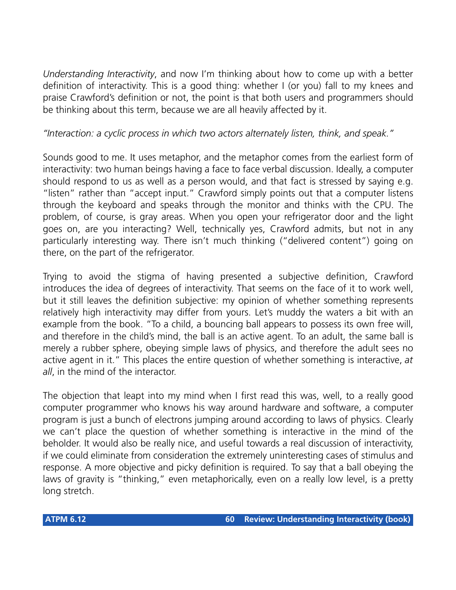*Understanding Interactivity*, and now I'm thinking about how to come up with a better definition of interactivity. This is a good thing: whether I (or you) fall to my knees and praise Crawford's definition or not, the point is that both users and programmers should be thinking about this term, because we are all heavily affected by it.

#### *"Interaction: a cyclic process in which two actors alternately listen, think, and speak."*

Sounds good to me. It uses metaphor, and the metaphor comes from the earliest form of interactivity: two human beings having a face to face verbal discussion. Ideally, a computer should respond to us as well as a person would, and that fact is stressed by saying e.g. "listen" rather than "accept input." Crawford simply points out that a computer listens through the keyboard and speaks through the monitor and thinks with the CPU. The problem, of course, is gray areas. When you open your refrigerator door and the light goes on, are you interacting? Well, technically yes, Crawford admits, but not in any particularly interesting way. There isn't much thinking ("delivered content") going on there, on the part of the refrigerator.

Trying to avoid the stigma of having presented a subjective definition, Crawford introduces the idea of degrees of interactivity. That seems on the face of it to work well, but it still leaves the definition subjective: my opinion of whether something represents relatively high interactivity may differ from yours. Let's muddy the waters a bit with an example from the book. "To a child, a bouncing ball appears to possess its own free will, and therefore in the child's mind, the ball is an active agent. To an adult, the same ball is merely a rubber sphere, obeying simple laws of physics, and therefore the adult sees no active agent in it." This places the entire question of whether something is interactive, *at all*, in the mind of the interactor.

The objection that leapt into my mind when I first read this was, well, to a really good computer programmer who knows his way around hardware and software, a computer program is just a bunch of electrons jumping around according to laws of physics. Clearly we can't place the question of whether something is interactive in the mind of the beholder. It would also be really nice, and useful towards a real discussion of interactivity, if we could eliminate from consideration the extremely uninteresting cases of stimulus and response. A more objective and picky definition is required. To say that a ball obeying the laws of gravity is "thinking," even metaphorically, even on a really low level, is a pretty long stretch.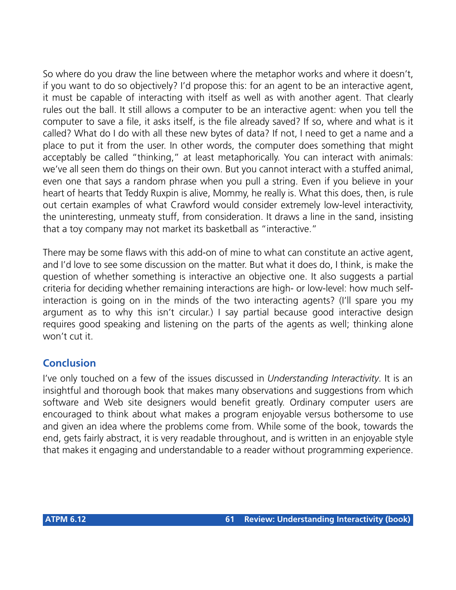So where do you draw the line between where the metaphor works and where it doesn't, if you want to do so objectively? I'd propose this: for an agent to be an interactive agent, it must be capable of interacting with itself as well as with another agent. That clearly rules out the ball. It still allows a computer to be an interactive agent: when you tell the computer to save a file, it asks itself, is the file already saved? If so, where and what is it called? What do I do with all these new bytes of data? If not, I need to get a name and a place to put it from the user. In other words, the computer does something that might acceptably be called "thinking," at least metaphorically. You can interact with animals: we've all seen them do things on their own. But you cannot interact with a stuffed animal, even one that says a random phrase when you pull a string. Even if you believe in your heart of hearts that Teddy Ruxpin is alive, Mommy, he really is. What this does, then, is rule out certain examples of what Crawford would consider extremely low-level interactivity, the uninteresting, unmeaty stuff, from consideration. It draws a line in the sand, insisting that a toy company may not market its basketball as "interactive."

There may be some flaws with this add-on of mine to what can constitute an active agent, and I'd love to see some discussion on the matter. But what it does do, I think, is make the question of whether something is interactive an objective one. It also suggests a partial criteria for deciding whether remaining interactions are high- or low-level: how much selfinteraction is going on in the minds of the two interacting agents? (I'll spare you my argument as to why this isn't circular.) I say partial because good interactive design requires good speaking and listening on the parts of the agents as well; thinking alone won't cut it.

## **Conclusion**

I've only touched on a few of the issues discussed in *Understanding Interactivity*. It is an insightful and thorough book that makes many observations and suggestions from which software and Web site designers would benefit greatly. Ordinary computer users are encouraged to think about what makes a program enjoyable versus bothersome to use and given an idea where the problems come from. While some of the book, towards the end, gets fairly abstract, it is very readable throughout, and is written in an enjoyable style that makes it engaging and understandable to a reader without programming experience.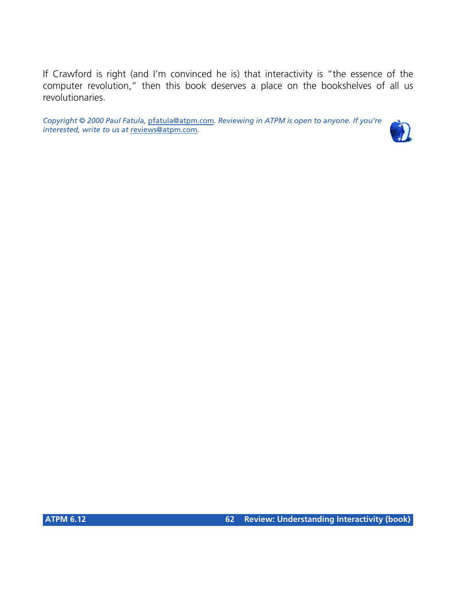If Crawford is right (and I'm convinced he is) that interactivity is "the essence of the computer revolution," then this book deserves a place on the bookshelves of all us revolutionaries.

*Copyright © 2000 Paul Fatula,* [pfatula@atpm.com](mailto:pfatula@atpm.com)*. Reviewing in ATPM is open to anyone. If you're interested, write to us at* [reviews@atpm.com](mailto:reviews@atpm.com)*.*

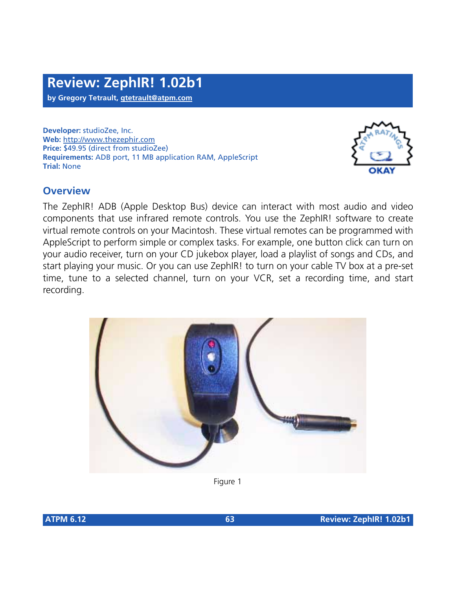**Developer:** studioZee, Inc. **Web:** <http://www.thezephir.com> **Price:** \$49.95 (direct from studioZee) **Requirements:** ADB port, 11 MB application RAM, AppleScript **Trial:** None



# **Overview**

The ZephIR! ADB (Apple Desktop Bus) device can interact with most audio and video components that use infrared remote controls. You use the ZephIR! software to create virtual remote controls on your Macintosh. These virtual remotes can be programmed with AppleScript to perform simple or complex tasks. For example, one button click can turn on your audio receiver, turn on your CD jukebox player, load a playlist of songs and CDs, and start playing your music. Or you can use ZephIR! to turn on your cable TV box at a pre-set time, tune to a selected channel, turn on your VCR, set a recording time, and start recording.



Figure 1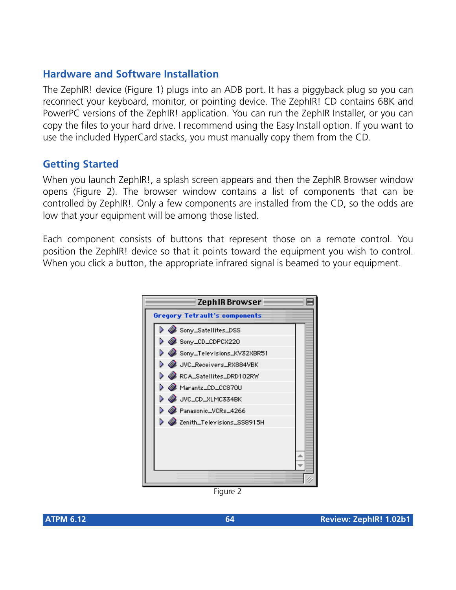# **Hardware and Software Installation**

The ZephIR! device (Figure 1) plugs into an ADB port. It has a piggyback plug so you can reconnect your keyboard, monitor, or pointing device. The ZephIR! CD contains 68K and PowerPC versions of the ZephIR! application. You can run the ZephIR Installer, or you can copy the files to your hard drive. I recommend using the Easy Install option. If you want to use the included HyperCard stacks, you must manually copy them from the CD.

#### **Getting Started**

When you launch ZephIR!, a splash screen appears and then the ZephIR Browser window opens (Figure 2). The browser window contains a list of components that can be controlled by ZephIR!. Only a few components are installed from the CD, so the odds are low that your equipment will be among those listed.

Each component consists of buttons that represent those on a remote control. You position the ZephIR! device so that it points toward the equipment you wish to control. When you click a button, the appropriate infrared signal is beamed to your equipment.



Figure 2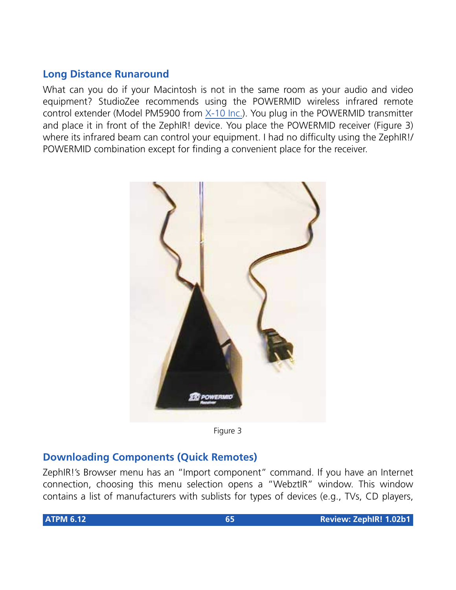# **Long Distance Runaround**

What can you do if your Macintosh is not in the same room as your audio and video equipment? StudioZee recommends using the POWERMID wireless infrared remote control extender (Model PM5900 from [X-10 Inc.](http://www.x10.com)). You plug in the POWERMID transmitter and place it in front of the ZephIR! device. You place the POWERMID receiver (Figure 3) where its infrared beam can control your equipment. I had no difficulty using the ZephIR!/ POWERMID combination except for finding a convenient place for the receiver.



Figure 3

## **Downloading Components (Quick Remotes)**

ZephIR!'s Browser menu has an "Import component" command. If you have an Internet connection, choosing this menu selection opens a "WebztIR" window. This window contains a list of manufacturers with sublists for types of devices (e.g., TVs, CD players,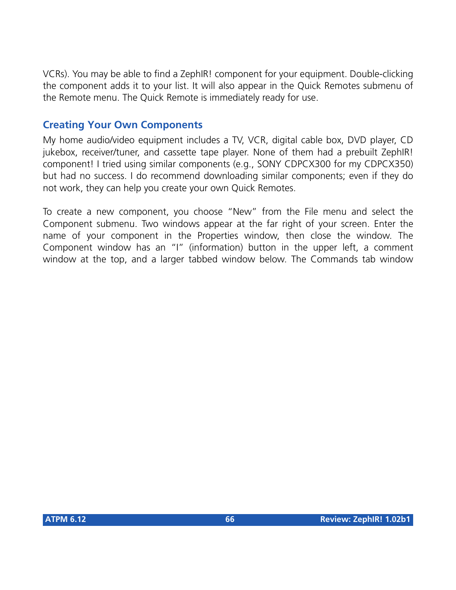VCRs). You may be able to find a ZephIR! component for your equipment. Double-clicking the component adds it to your list. It will also appear in the Quick Remotes submenu of the Remote menu. The Quick Remote is immediately ready for use.

# **Creating Your Own Components**

My home audio/video equipment includes a TV, VCR, digital cable box, DVD player, CD jukebox, receiver/tuner, and cassette tape player. None of them had a prebuilt ZephIR! component! I tried using similar components (e.g., SONY CDPCX300 for my CDPCX350) but had no success. I do recommend downloading similar components; even if they do not work, they can help you create your own Quick Remotes.

To create a new component, you choose "New" from the File menu and select the Component submenu. Two windows appear at the far right of your screen. Enter the name of your component in the Properties window, then close the window. The Component window has an "I" (information) button in the upper left, a comment window at the top, and a larger tabbed window below. The Commands tab window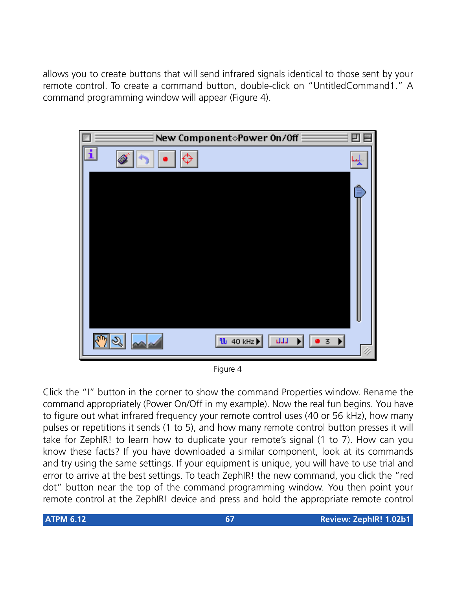allows you to create buttons that will send infrared signals identical to those sent by your remote control. To create a command button, double-click on "UntitledCommand1." A command programming window will appear (Figure 4).



Figure 4

Click the "I" button in the corner to show the command Properties window. Rename the command appropriately (Power On/Off in my example). Now the real fun begins. You have to figure out what infrared frequency your remote control uses (40 or 56 kHz), how many pulses or repetitions it sends (1 to 5), and how many remote control button presses it will take for ZephIR! to learn how to duplicate your remote's signal (1 to 7). How can you know these facts? If you have downloaded a similar component, look at its commands and try using the same settings. If your equipment is unique, you will have to use trial and error to arrive at the best settings. To teach ZephIR! the new command, you click the "red dot" button near the top of the command programming window. You then point your remote control at the ZephIR! device and press and hold the appropriate remote control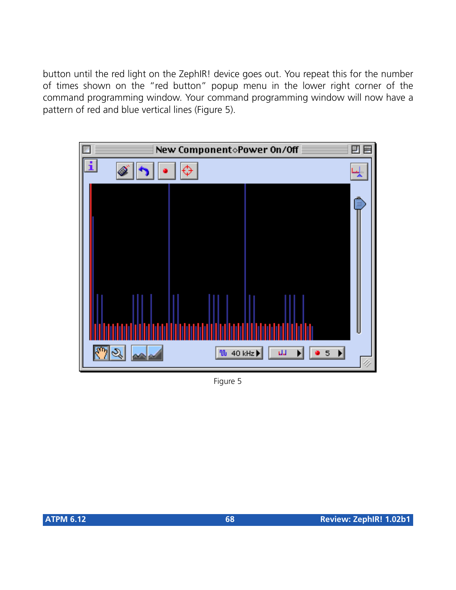button until the red light on the ZephIR! device goes out. You repeat this for the number of times shown on the "red button" popup menu in the lower right corner of the command programming window. Your command programming window will now have a pattern of red and blue vertical lines (Figure 5).



Figure 5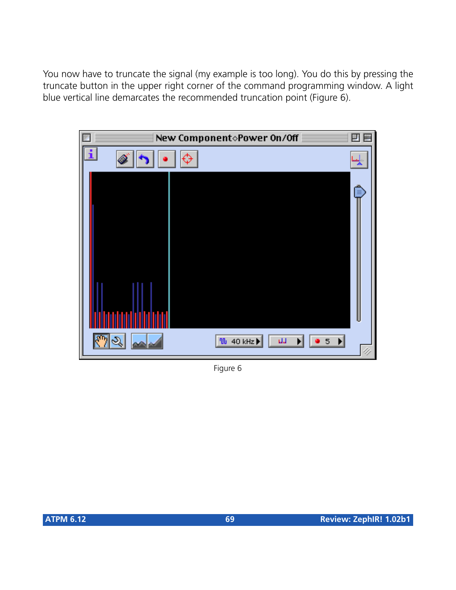You now have to truncate the signal (my example is too long). You do this by pressing the truncate button in the upper right corner of the command programming window. A light blue vertical line demarcates the recommended truncation point (Figure 6).



Figure 6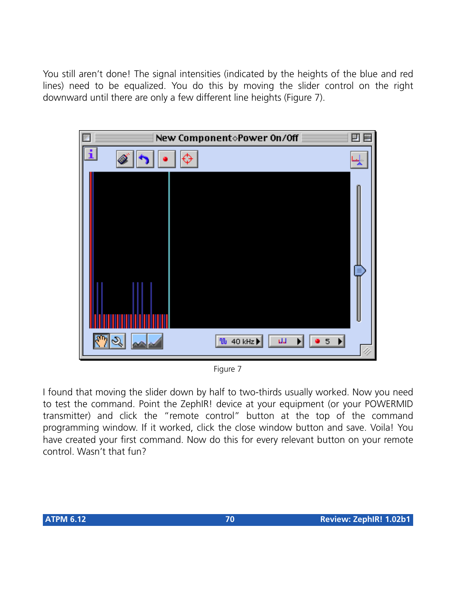You still aren't done! The signal intensities (indicated by the heights of the blue and red lines) need to be equalized. You do this by moving the slider control on the right downward until there are only a few different line heights (Figure 7).



Figure 7

I found that moving the slider down by half to two-thirds usually worked. Now you need to test the command. Point the ZephIR! device at your equipment (or your POWERMID transmitter) and click the "remote control" button at the top of the command programming window. If it worked, click the close window button and save. Voila! You have created your first command. Now do this for every relevant button on your remote control. Wasn't that fun?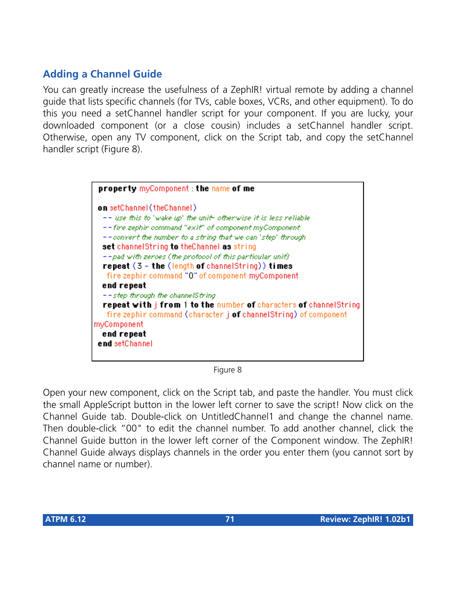# **Adding a Channel Guide**

You can greatly increase the usefulness of a ZephIR! virtual remote by adding a channel guide that lists specific channels (for TVs, cable boxes, VCRs, and other equipment). To do this you need a setChannel handler script for your component. If you are lucky, your downloaded component (or a close cousin) includes a setChannel handler script. Otherwise, open any TV component, click on the Script tab, and copy the setChannel handler script (Figure 8).



Figure 8

Open your new component, click on the Script tab, and paste the handler. You must click the small AppleScript button in the lower left corner to save the script! Now click on the Channel Guide tab. Double-click on UntitledChannel1 and change the channel name. Then double-click "00" to edit the channel number. To add another channel, click the Channel Guide button in the lower left corner of the Component window. The ZephIR! Channel Guide always displays channels in the order you enter them (you cannot sort by channel name or number).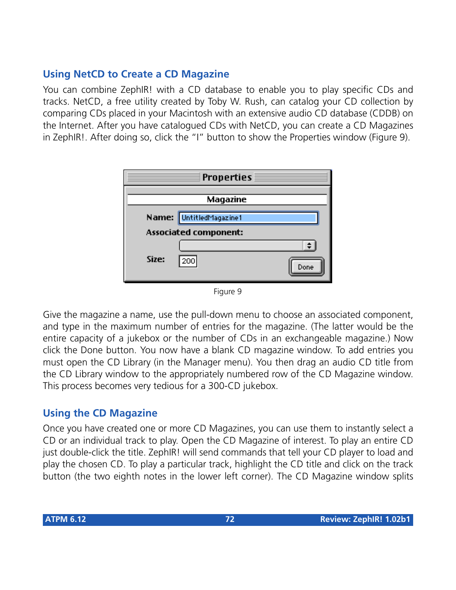# **Using NetCD to Create a CD Magazine**

You can combine ZephIR! with a CD database to enable you to play specific CDs and tracks. NetCD, a free utility created by Toby W. Rush, can catalog your CD collection by comparing CDs placed in your Macintosh with an extensive audio CD database (CDDB) on the Internet. After you have catalogued CDs with NetCD, you can create a CD Magazines in ZephIR!. After doing so, click the "I" button to show the Properties window (Figure 9).

|       | <b>Properties</b>            |
|-------|------------------------------|
|       | Magazine                     |
|       |                              |
|       | Name: UntitledMagazine1      |
|       | <b>Associated component:</b> |
|       |                              |
| Size: | 200<br>Done                  |

Figure 9

Give the magazine a name, use the pull-down menu to choose an associated component, and type in the maximum number of entries for the magazine. (The latter would be the entire capacity of a jukebox or the number of CDs in an exchangeable magazine.) Now click the Done button. You now have a blank CD magazine window. To add entries you must open the CD Library (in the Manager menu). You then drag an audio CD title from the CD Library window to the appropriately numbered row of the CD Magazine window. This process becomes very tedious for a 300-CD jukebox.

## **Using the CD Magazine**

Once you have created one or more CD Magazines, you can use them to instantly select a CD or an individual track to play. Open the CD Magazine of interest. To play an entire CD just double-click the title. ZephIR! will send commands that tell your CD player to load and play the chosen CD. To play a particular track, highlight the CD title and click on the track button (the two eighth notes in the lower left corner). The CD Magazine window splits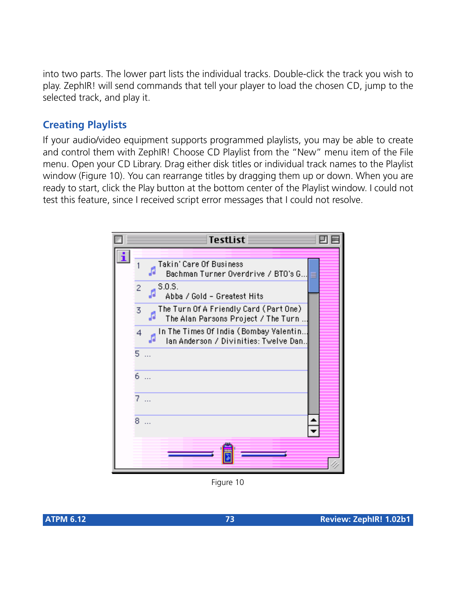into two parts. The lower part lists the individual tracks. Double-click the track you wish to play. ZephIR! will send commands that tell your player to load the chosen CD, jump to the selected track, and play it.

# **Creating Playlists**

If your audio/video equipment supports programmed playlists, you may be able to create and control them with ZephIR! Choose CD Playlist from the "New" menu item of the File menu. Open your CD Library. Drag either disk titles or individual track names to the Playlist window (Figure 10). You can rearrange titles by dragging them up or down. When you are ready to start, click the Play button at the bottom center of the Playlist window. I could not test this feature, since I received script error messages that I could not resolve.



Figure 10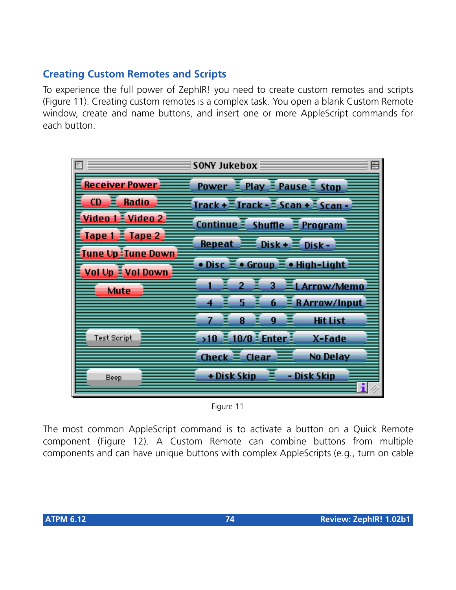# **Creating Custom Remotes and Scripts**

To experience the full power of ZephIR! you need to create custom remotes and scripts (Figure 11). Creating custom remotes is a complex task. You open a blank Custom Remote window, create and name buttons, and insert one or more AppleScript commands for each button.



Figure 11

The most common AppleScript command is to activate a button on a Quick Remote component (Figure 12). A Custom Remote can combine buttons from multiple components and can have unique buttons with complex AppleScripts (e.g., turn on cable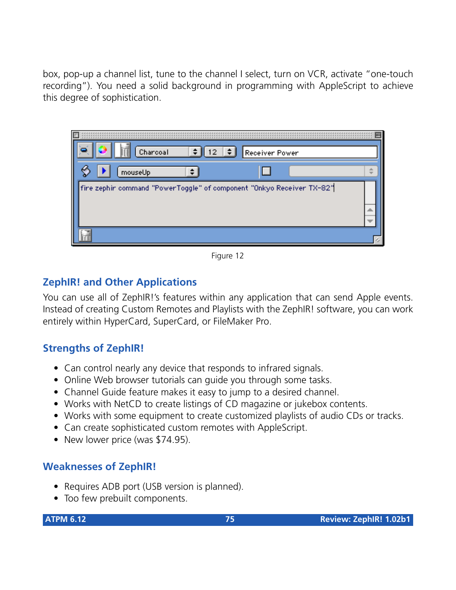box, pop-up a channel list, tune to the channel I select, turn on VCR, activate "one-touch recording"). You need a solid background in programming with AppleScript to achieve this degree of sophistication.



Figure 12

# **ZephIR! and Other Applications**

You can use all of ZephIR!'s features within any application that can send Apple events. Instead of creating Custom Remotes and Playlists with the ZephIR! software, you can work entirely within HyperCard, SuperCard, or FileMaker Pro.

#### **Strengths of ZephIR!**

- Can control nearly any device that responds to infrared signals.
- Online Web browser tutorials can guide you through some tasks.
- Channel Guide feature makes it easy to jump to a desired channel.
- Works with NetCD to create listings of CD magazine or jukebox contents.
- Works with some equipment to create customized playlists of audio CDs or tracks.
- Can create sophisticated custom remotes with AppleScript.
- New lower price (was \$74.95).

#### **Weaknesses of ZephIR!**

- Requires ADB port (USB version is planned).
- Too few prebuilt components.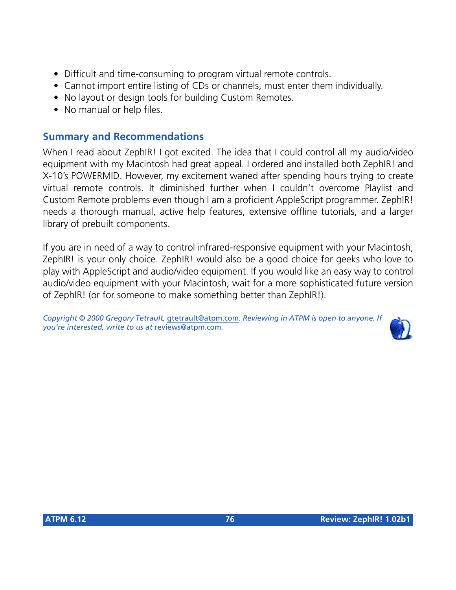- Difficult and time-consuming to program virtual remote controls.
- Cannot import entire listing of CDs or channels, must enter them individually.
- No layout or design tools for building Custom Remotes.
- No manual or help files.

#### **Summary and Recommendations**

When I read about ZephIR! I got excited. The idea that I could control all my audio/video equipment with my Macintosh had great appeal. I ordered and installed both ZephIR! and X-10's POWERMID. However, my excitement waned after spending hours trying to create virtual remote controls. It diminished further when I couldn't overcome Playlist and Custom Remote problems even though I am a proficient AppleScript programmer. ZephIR! needs a thorough manual, active help features, extensive offline tutorials, and a larger library of prebuilt components.

If you are in need of a way to control infrared-responsive equipment with your Macintosh, ZephIR! is your only choice. ZephIR! would also be a good choice for geeks who love to play with AppleScript and audio/video equipment. If you would like an easy way to control audio/video equipment with your Macintosh, wait for a more sophisticated future version of ZephIR! (or for someone to make something better than ZephIR!).

*Copyright © 2000 Gregory Tetrault,* [gtetrault@atpm.com](mailto:gtetrault@atpm.com)*. Reviewing in ATPM is open to anyone. If you're interested, write to us at* [reviews@atpm.com](mailto:reviews@atpm.com)*.*

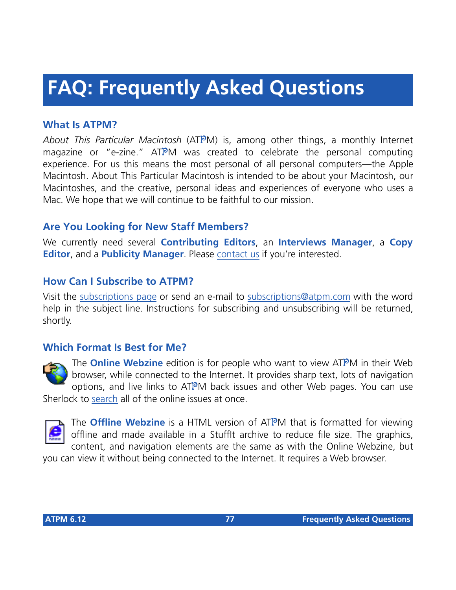# **FAQ: Frequently Asked Questions**

#### **What Is ATPM?**

*About This Particular Macintosh* (ATPM) is, among other things, a monthly Internet magazine or "e-zine." ATPM was created to celebrate the personal computing experience. For us this means the most personal of all personal computers—the Apple Macintosh. About This Particular Macintosh is intended to be about your Macintosh, our Macintoshes, and the creative, personal ideas and experiences of everyone who uses a Mac. We hope that we will continue to be faithful to our mission.

### **Are You Looking for New Staff Members?**

We currently need several **Contributing Editors**, an **Interviews Manager**, a **Copy Editor**, and a **Publicity Manager**. Please [contact us](mailto:editor@atpm.com) if you're interested.

#### **How Can I Subscribe to ATPM?**

Visit the [subscriptions page](http://www.atpm.com/subscribe) or send an e-mail to [subscriptions@atpm.com](mailto:subscriptions@atpm.com) with the word help in the subject line. Instructions for subscribing and unsubscribing will be returned, shortly.

#### **Which Format Is Best for Me?**



The **Online Webzine** edition is for people who want to view ATPM in their Web browser, while connected to the Internet. It provides sharp text, lots of navigation options, and live links to ATPM back issues and other Web pages. You can use Sherlock to [search](http://www.atpm.com/search) all of the online issues at once.



The **Offline Webzine** is a HTML version of ATPM that is formatted for viewing offline and made available in a StuffIt archive to reduce file size. The graphics, content, and navigation elements are the same as with the Online Webzine, but

you can view it without being connected to the Internet. It requires a Web browser.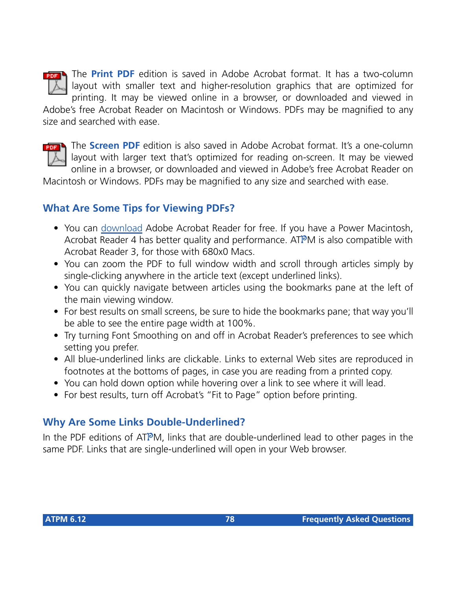

The **Print PDF** edition is saved in Adobe Acrobat format. It has a two-column layout with smaller text and higher-resolution graphics that are optimized for printing. It may be viewed online in a browser, or downloaded and viewed in

Adobe's free Acrobat Reader on Macintosh or Windows. PDFs may be magnified to any size and searched with ease.



The **Screen PDF** edition is also saved in Adobe Acrobat format. It's a one-column layout with larger text that's optimized for reading on-screen. It may be viewed online in a browser, or downloaded and viewed in Adobe's free Acrobat Reader on

Macintosh or Windows. PDFs may be magnified to any size and searched with ease.

#### **What Are Some Tips for Viewing PDFs?**

- You can [download](http://www.adobe.com/prodindex/acrobat/readstep.html) Adobe Acrobat Reader for free. If you have a Power Macintosh, Acrobat Reader 4 has better quality and performance. ATPM is also compatible with Acrobat Reader 3, for those with 680x0 Macs.
- You can zoom the PDF to full window width and scroll through articles simply by single-clicking anywhere in the article text (except underlined links).
- You can quickly navigate between articles using the bookmarks pane at the left of the main viewing window.
- For best results on small screens, be sure to hide the bookmarks pane; that way you'll be able to see the entire page width at 100%.
- Try turning Font Smoothing on and off in Acrobat Reader's preferences to see which setting you prefer.
- All blue-underlined links are clickable. Links to external Web sites are reproduced in footnotes at the bottoms of pages, in case you are reading from a printed copy.
- You can hold down option while hovering over a link to see where it will lead.
- For best results, turn off Acrobat's "Fit to Page" option before printing.

# **Why Are Some Links Double-Underlined?**

In the PDF editions of ATPM, links that are double-underlined lead to other pages in the same PDF. Links that are single-underlined will open in your Web browser.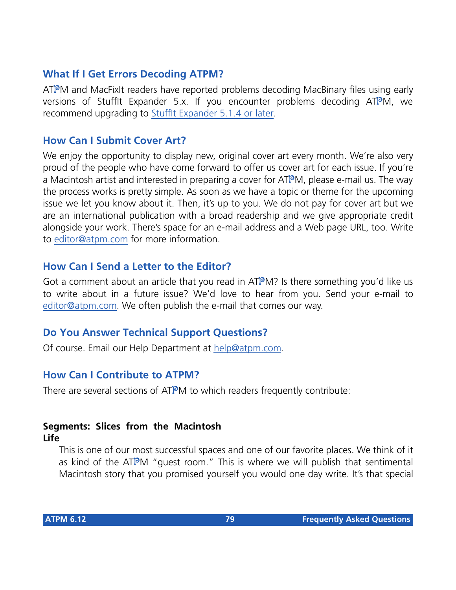#### **What If I Get Errors Decoding ATPM?**

ATPM and MacFixIt readers have reported problems decoding MacBinary files using early versions of Stufflt Expander 5.x. If you encounter problems decoding ATPM, we recommend upgrading to [StuffIt Expander 5.1.4 or later](http://www.aladdinsys.com/expander/index.html).

#### **How Can I Submit Cover Art?**

We enjoy the opportunity to display new, original cover art every month. We're also very proud of the people who have come forward to offer us cover art for each issue. If you're a Macintosh artist and interested in preparing a cover for ATPM, please e-mail us. The way the process works is pretty simple. As soon as we have a topic or theme for the upcoming issue we let you know about it. Then, it's up to you. We do not pay for cover art but we are an international publication with a broad readership and we give appropriate credit alongside your work. There's space for an e-mail address and a Web page URL, too. Write to [editor@atpm.com](mailto:editor@atpm.com) for more information.

#### **How Can I Send a Letter to the Editor?**

Got a comment about an article that you read in  $ATPM$ ? Is there something you'd like us to write about in a future issue? We'd love to hear from you. Send your e-mail to [editor@atpm.com.](mailto:editor@atpm.com) We often publish the e-mail that comes our way.

#### **Do You Answer Technical Support Questions?**

Of course. Email our Help Department at [help@atpm.com](mailto:help@atpm.com).

#### **How Can I Contribute to ATPM?**

There are several sections of ATPM to which readers frequently contribute:

#### **Segments: Slices from the Macintosh Life**

This is one of our most successful spaces and one of our favorite places. We think of it as kind of the ATPM "guest room." This is where we will publish that sentimental Macintosh story that you promised yourself you would one day write. It's that special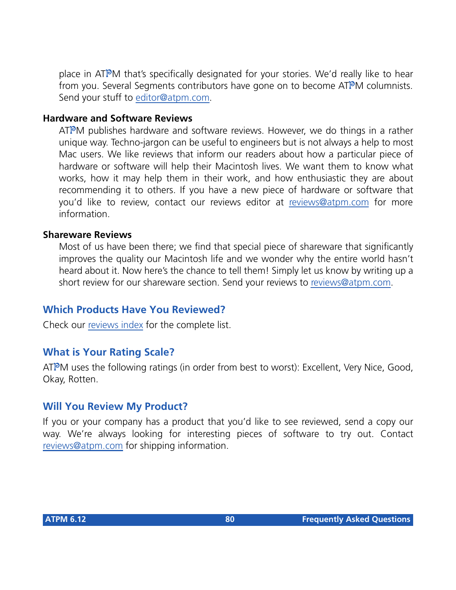place in ATPM that's specifically designated for your stories. We'd really like to hear from you. Several Segments contributors have gone on to become ATPM columnists. Send your stuff to [editor@atpm.com](mailto:editor@atpm.com).

#### **Hardware and Software Reviews**

ATPM publishes hardware and software reviews. However, we do things in a rather unique way. Techno-jargon can be useful to engineers but is not always a help to most Mac users. We like reviews that inform our readers about how a particular piece of hardware or software will help their Macintosh lives. We want them to know what works, how it may help them in their work, and how enthusiastic they are about recommending it to others. If you have a new piece of hardware or software that you'd like to review, contact our reviews editor at [reviews@atpm.com](mailto:reviews@atpm.com) for more information.

#### **Shareware Reviews**

Most of us have been there; we find that special piece of shareware that significantly improves the quality our Macintosh life and we wonder why the entire world hasn't heard about it. Now here's the chance to tell them! Simply let us know by writing up a short review for our shareware section. Send your reviews to [reviews@atpm.com.](mailto:reviews@atpm.com)

#### **Which Products Have You Reviewed?**

Check our [reviews index](http://www.atpm.com/reviews) for the complete list.

#### **What is Your Rating Scale?**

ATPM uses the following ratings (in order from best to worst): Excellent, Very Nice, Good, Okay, Rotten.

#### **Will You Review My Product?**

If you or your company has a product that you'd like to see reviewed, send a copy our way. We're always looking for interesting pieces of software to try out. Contact [reviews@atpm.com](mailto:reviews@atpm.com) for shipping information.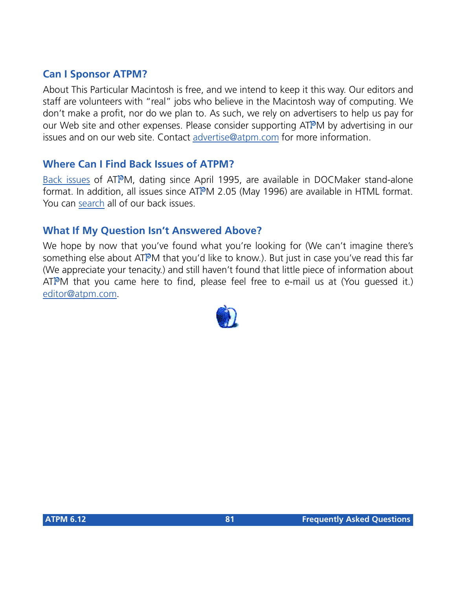#### **Can I Sponsor ATPM?**

About This Particular Macintosh is free, and we intend to keep it this way. Our editors and staff are volunteers with "real" jobs who believe in the Macintosh way of computing. We don't make a profit, nor do we plan to. As such, we rely on advertisers to help us pay for our Web site and other expenses. Please consider supporting ATPM by advertising in our issues and on our web site. Contact<advertise@atpm.com>for more information.

#### **Where Can I Find Back Issues of ATPM?**

[Back issues](http://www.atpm.com/Back/) of ATPM, dating since April 1995, are available in DOCMaker stand-alone format. In addition, all issues since ATPM 2.05 (May 1996) are available in HTML format. You can [search](http://www.atpm.com/search) all of our back issues.

#### **What If My Question Isn't Answered Above?**

We hope by now that you've found what you're looking for (We can't imagine there's something else about ATPM that you'd like to know.). But just in case you've read this far (We appreciate your tenacity.) and still haven't found that little piece of information about  $ATPM$  that you came here to find, please feel free to e-mail us at (You guessed it.) [editor@atpm.com.](mailto:editor@atpm.com)

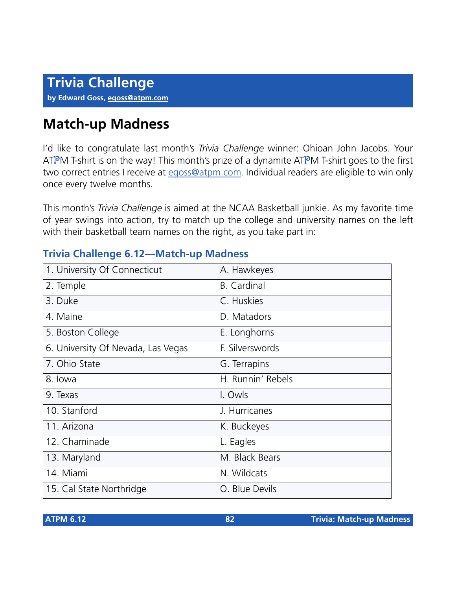# **Match-up Madness**

I'd like to congratulate last month's *Trivia Challenge* winner: Ohioan John Jacobs. Your ATPM T-shirt is on the way! This month's prize of a dynamite ATPM T-shirt goes to the first two correct entries I receive at [egoss@atpm.com.](mailto:egoss@atpm.com) Individual readers are eligible to win only once every twelve months.

This month's *Trivia Challenge* is aimed at the NCAA Basketball junkie. As my favorite time of year swings into action, try to match up the college and university names on the left with their basketball team names on the right, as you take part in:

#### **Trivia Challenge 6.12—Match-up Madness**

| 1. University Of Connecticut       | A. Hawkeyes        |
|------------------------------------|--------------------|
| 2. Temple                          | <b>B.</b> Cardinal |
| 3. Duke                            | C. Huskies         |
| 4. Maine                           | D. Matadors        |
| 5. Boston College                  | E. Longhorns       |
| 6. University Of Nevada, Las Vegas | F. Silverswords    |
| 7. Ohio State                      | G. Terrapins       |
| 8. lowa                            | H. Runnin' Rebels  |
| 9. Texas                           | I. Owls            |
| 10. Stanford                       | J. Hurricanes      |
| 11. Arizona                        | K. Buckeyes        |
| 12. Chaminade                      | L. Eagles          |
| 13. Maryland                       | M. Black Bears     |
| 14. Miami                          | N. Wildcats        |
| 15. Cal State Northridge           | O. Blue Devils     |